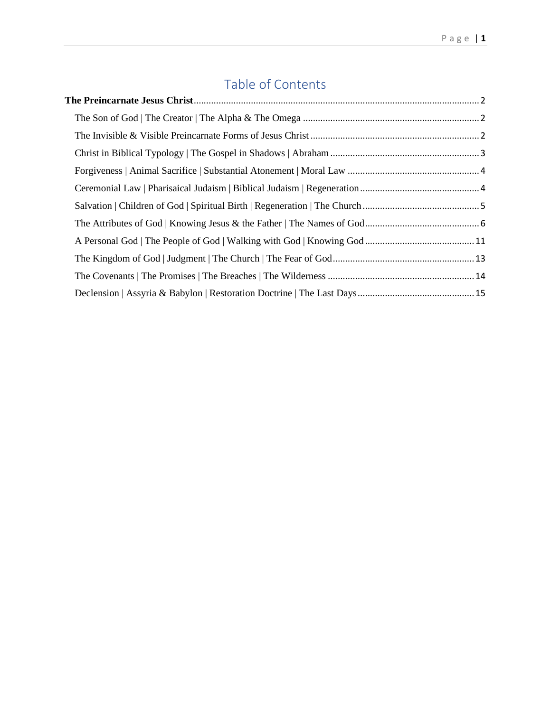# Table of Contents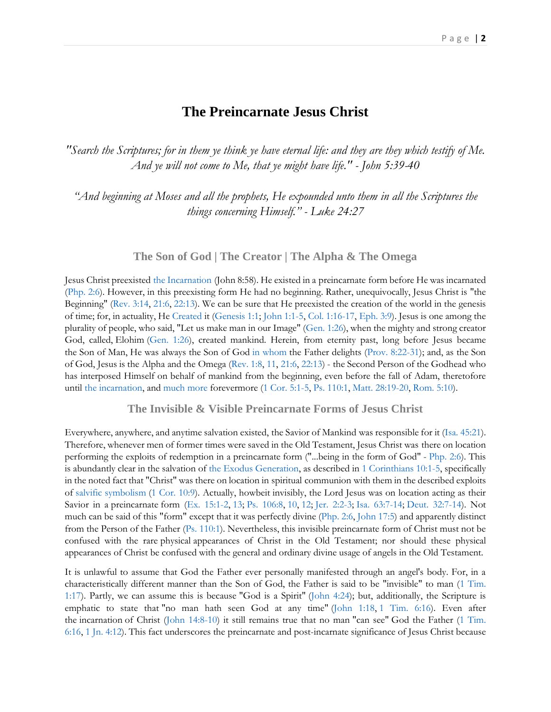# **The Preincarnate Jesus Christ**

<span id="page-1-0"></span>*"Search the Scriptures; for in them ye think ye have eternal life: and they are they which testify of Me. And ye will not come to Me, that ye might have life." - John 5:39-40*

*"And beginning at Moses and all the prophets, He expounded unto them in all the Scriptures the things concerning Himself." - Luke 24:27*

**The Son of God | The Creator | The Alpha & The Omega**

<span id="page-1-1"></span>Jesus Christ preexisted [the Incarnation](http://www.thechurchofwells.com/the-incarnation-of-christ.html) (John 8:58). He existed in a preincarnate form before He was incarnated [\(Php. 2:6\)](https://biblia.com/bible/kjv1900/Phil.%202.6). However, in this preexisting form He had no beginning. Rather, unequivocally, Jesus Christ is "the Beginning" [\(Rev. 3:14,](https://biblia.com/bible/kjv1900/Rev.%203.14) [21:6,](https://biblia.com/bible/kjv1900/Rev%2021.6) [22:13\)](https://biblia.com/bible/kjv1900/Rev%2022.13). We can be sure that He preexisted the creation of the world in the genesis of time; for, in actuality, He [Created](http://www.thechurchofwells.com/creator-savior-and-judge.html) it [\(Genesis 1:1;](https://biblia.com/bible/kjv1900/Gen%201.1) [John 1:1-5,](https://biblia.com/bible/kjv1900/John%201.1-5) [Col. 1:16-17,](https://biblia.com/bible/kjv1900/Col.%201.16-17) [Eph. 3:9\)](https://biblia.com/bible/kjv1900/Eph.%203.9). Jesus is one among the plurality of people, who said, "Let us make man in our Image" [\(Gen. 1:26\)](https://biblia.com/bible/kjv1900/Gen.%201.26), when the mighty and strong creator God, called, Elohim [\(Gen. 1:26\)](https://biblia.com/bible/kjv1900/Gen.%201.26), created mankind. Herein, from eternity past, long before Jesus became the Son of Man, He was always the Son of God [in whom](http://www.thecondescensionofgod.com/a-poetical-introduction-look-at-the-cross.html) the Father delights [\(Prov. 8:22-31\)](https://biblia.com/bible/kjv1900/Prov.%208.22-31); and, as the Son of God, Jesus is the Alpha and the Omega [\(Rev. 1:8,](https://biblia.com/bible/kjv1900/Rev.%201.8) [11,](https://biblia.com/bible/kjv1900/Rev%201.11) [21:6,](https://biblia.com/bible/kjv1900/Rev%2021.6) [22:13\)](https://biblia.com/bible/kjv1900/Rev%2022.13) - the Second Person of the Godhead who has interposed Himself on behalf of mankind from the beginning, even before the fall of Adam, theretofore until the [incarnation,](http://www.thechurchofwells.com/the-incarnation-of-christ.html) and [much more](https://www.therevelationofjesuschrist.org/books/the-age-ending-revival/the-unrealized-divine-repentance-extending-beyond-david-s-lifetime#the-gospel-of-david-the-gospel-of-isaiah-the-everlasting-gospel) forevermore [\(1 Cor. 5:1-5,](https://biblia.com/bible/kjv1900/1%20Cor.%205.1-5) [Ps. 110:1,](https://biblia.com/bible/kjv1900/Ps.%20110.1) [Matt. 28:19-20,](https://biblia.com/bible/kjv1900/Matt.%2028.19-20) [Rom. 5:10\)](https://biblia.com/bible/kjv1900/Rom.%205.10).

**The Invisible & Visible Preincarnate Forms of Jesus Christ**

<span id="page-1-2"></span>Everywhere, anywhere, and anytime salvation existed, the Savior of Mankind was responsible for it [\(Isa. 45:21\)](https://biblia.com/bible/kjv1900/Isa.%2045.21). Therefore, whenever men of former times were saved in the Old Testament, Jesus Christ was there on location performing the exploits of redemption in a preincarnate form ("...being in the form of God" - [Php. 2:6\)](https://biblia.com/bible/kjv1900/Phil.%202.6). This is abundantly clear in the salvation of [the Exodus Generation,](https://thechurchrealized.com/volume-1/chapter-1/israels-seed-in-the-exodus-generation/) as described in [1 Corinthians 10:1-5,](https://biblia.com/bible/kjv1900/1%20Cor%2010.1-5) specifically in the noted fact that "Christ" was there on location in spiritual communion with them in the described exploits of [salvific symbolism](https://thechurchrealized.com/volume-1/chapter-1/israels-seed-in-the-exodus-generation/) [\(1 Cor. 10:9\)](https://biblia.com/bible/kjv1900/1%20Cor.%2010.9). Actually, howbeit invisibly, the Lord Jesus was on location acting as their Savior in a preincarnate form [\(Ex. 15:1-2,](https://biblia.com/bible/kjv1900/Exod.%2015.1-2) [13;](https://biblia.com/bible/kjv1900/Ex%2015.13) [Ps. 106:8,](https://biblia.com/bible/kjv1900/Ps.%20106.8) [10,](https://biblia.com/bible/kjv1900/Ps%20106.10) [12;](https://biblia.com/bible/kjv1900/Ps%20106.12) [Jer. 2:2-3;](https://biblia.com/bible/kjv1900/Jer.%202.2-3) [Isa. 63:7-14;](https://biblia.com/bible/kjv1900/Isa.%2063.7-14) [Deut. 32:7-14\)](https://biblia.com/bible/kjv1900/Deut.%2032.7-14). Not much can be said of this "form" except that it was perfectly divine [\(Php. 2:6,](https://biblia.com/bible/kjv1900/Phil.%202.6) [John 17:5\)](https://biblia.com/bible/kjv1900/John%2017.5) and apparently distinct from the Person of the Father [\(Ps. 110:1\)](https://biblia.com/bible/kjv1900/Ps.%20110.1). Nevertheless, this invisible preincarnate form of Christ must not be confused with the rare physical appearances of Christ in the Old Testament; nor should these physical appearances of Christ be confused with the general and ordinary divine usage of angels in the Old Testament.

It is unlawful to assume that God the Father ever personally manifested through an angel's body. For, in a characteristically different manner than the Son of God, the Father is said to be "invisible" to man [\(1 Tim.](https://biblia.com/bible/kjv1900/1%20Tim.%201.17)  [1:17\)](https://biblia.com/bible/kjv1900/1%20Tim.%201.17). Partly, we can assume this is because "God is a Spirit" [\(John 4:24\)](https://biblia.com/bible/kjv1900/John%204.24); but, additionally, the Scripture is emphatic to state that "no man hath seen God at any time" [\(John 1:18,](https://biblia.com/bible/kjv1900/John%201.18) [1 Tim. 6:16\)](https://biblia.com/bible/kjv1900/1%20Tim.%206.16). Even after the incarnation of Christ [\(John 14:8-10\)](https://biblia.com/bible/kjv1900/John%2014.8-10) it still remains true that no man "can see" God the Father [\(1 Tim.](https://biblia.com/bible/kjv1900/1%20Tim.%206.16)  [6:16,](https://biblia.com/bible/kjv1900/1%20Tim.%206.16) [1 Jn. 4:12\)](https://biblia.com/bible/kjv1900/1%20John.%204.12). This fact underscores the preincarnate and post-incarnate significance of Jesus Christ because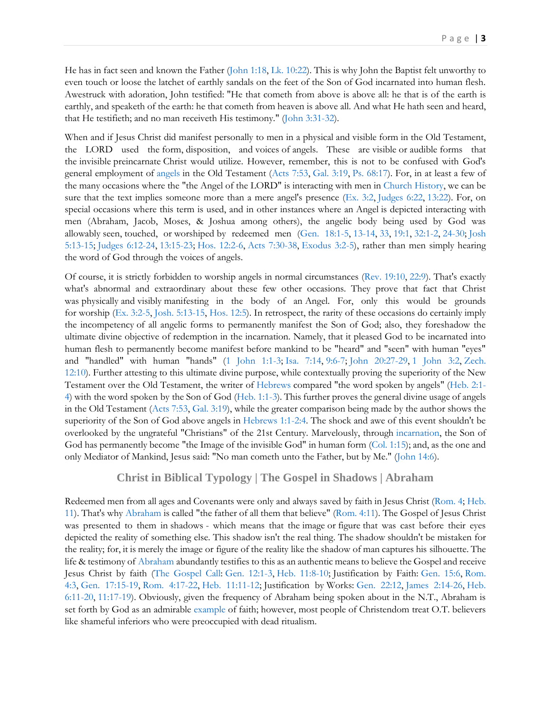He has in fact seen and known the Father [\(John 1:18,](https://biblia.com/bible/kjv1900/John%201.18) [Lk. 10:22\)](https://biblia.com/bible/kjv1900/Luke.%2010.22). This is why John the Baptist felt unworthy to even touch or loose the latchet of earthly sandals on the feet of the Son of God incarnated into human flesh. Awestruck with adoration, John testified: "He that cometh from above is above all: he that is of the earth is earthly, and speaketh of the earth: he that cometh from heaven is above all. And what He hath seen and heard, that He testifieth; and no man receiveth His testimony." [\(John 3:31-32\)](https://biblia.com/bible/kjv1900/John%203.31-32).

When and if Jesus Christ did manifest personally to men in a physical and visible form in the Old Testament, the LORD used the form, disposition, and voices of angels. These are visible or audible forms that the invisible preincarnate Christ would utilize. However, remember, this is not to be confused with God's general employment of [angels](https://thechurchrealized.com/volume-1/chapter-2/in-retrospect-from-abraham-to-the-exodus-generation/#the_sinai_experience) in the Old Testament [\(Acts 7:53,](https://biblia.com/bible/kjv1900/Acts%207.53) [Gal. 3:19,](https://biblia.com/bible/kjv1900/Gal.%203.19) [Ps. 68:17\)](https://biblia.com/bible/kjv1900/Ps.%2068.17). For, in at least a few of the many occasions where the "the Angel of the LORD" is interacting with men in [Church History,](https://thechurchrealized.com/volume-1/) we can be sure that the text implies someone more than a mere angel's presence [\(Ex. 3:2,](https://biblia.com/bible/kjv1900/Exod.%203.2) [Judges 6:22,](https://biblia.com/bible/kjv1900/Judg%206.22) [13:22\)](https://biblia.com/bible/kjv1900/Judges%2013.22). For, on special occasions where this term is used, and in other instances where an Angel is depicted interacting with men (Abraham, Jacob, Moses, & Joshua among others), the angelic body being used by God was allowably seen, touched, or worshiped by redeemed men [\(Gen. 18:1-5,](https://biblia.com/bible/kjv1900/Gen.%2018.1-5) [13-14,](https://biblia.com/bible/kjv1900/Gen%2018.13-14) [33,](https://biblia.com/bible/kjv1900/Gen%2018.33) [19:1,](https://biblia.com/bible/kjv1900/Gen%2019.1) [32:1-2,](https://biblia.com/bible/kjv1900/Gen%2032.1-2) [24-30;](https://biblia.com/bible/kjv1900/Gen%2032.24-30) [Josh](https://biblia.com/bible/kjv1900/Josh%205.13-15)  [5:13-15;](https://biblia.com/bible/kjv1900/Josh%205.13-15) [Judges 6:12-24,](https://biblia.com/bible/kjv1900/Judg%206.12-24) [13:15-23;](https://biblia.com/bible/kjv1900/Judges%2013.15-23) [Hos. 12:2-6,](https://biblia.com/bible/kjv1900/Hos.%2012.2-6) [Acts 7:30-38,](https://biblia.com/bible/kjv1900/Acts%207.30-38) [Exodus 3:2-5\)](https://biblia.com/bible/kjv1900/Exod%203.2-5), rather than men simply hearing the word of God through the voices of angels.

Of course, it is strictly forbidden to worship angels in normal circumstances [\(Rev. 19:10,](https://biblia.com/bible/kjv1900/Rev.%2019.10) [22:9\)](https://biblia.com/bible/kjv1900/Rev%2022.9). That's exactly what's abnormal and extraordinary about these few other occasions. They prove that fact that Christ was physically and visibly manifesting in the body of an Angel. For, only this would be grounds for worship [\(Ex. 3:2-5,](https://biblia.com/bible/kjv1900/Exod.%203.2-5) [Josh. 5:13-15,](https://biblia.com/bible/kjv1900/Josh.%205.13-15) [Hos. 12:5\)](https://biblia.com/bible/kjv1900/Hos.%2012.5). In retrospect, the rarity of these occasions do certainly imply the incompetency of all angelic forms to permanently manifest the Son of God; also, they foreshadow the ultimate divine objective of redemption in the incarnation. Namely, that it pleased God to be incarnated into human flesh to permanently become manifest before mankind to be "heard" and "seen" with human "eyes" and "handled" with human "hands" [\(1 John 1:1-3;](https://biblia.com/bible/kjv1900/1%20John%201.1-3) [Isa. 7:14,](https://biblia.com/bible/kjv1900/Isa.%207.14) [9:6-7;](https://biblia.com/bible/kjv1900/Isa%209.6-7) [John 20:27-29,](https://biblia.com/bible/kjv1900/John%2020.27-29) [1 John 3:2,](https://biblia.com/bible/kjv1900/1%20John%203.2) [Zech.](https://biblia.com/bible/kjv1900/Zech.%2012.10)  [12:10\)](https://biblia.com/bible/kjv1900/Zech.%2012.10). Further attesting to this ultimate divine purpose, while contextually proving the superiority of the New Testament over the Old Testament, the writer of [Hebrews](http://www.thecondescensionofgod.com/tracing-hebrews.html) compared "the word spoken by angels" [\(Heb. 2:1-](https://biblia.com/bible/kjv1900/Heb.%202.1-4) [4\)](https://biblia.com/bible/kjv1900/Heb.%202.1-4) with the word spoken by the Son of God [\(Heb. 1:1-3\)](https://biblia.com/bible/kjv1900/Heb.%201.1-3). This further proves the general divine usage of angels in the Old Testament [\(Acts 7:53,](https://biblia.com/bible/kjv1900/Acts%207.53) [Gal. 3:19\)](https://biblia.com/bible/kjv1900/Gal.%203.19), while the greater comparison being made by the author shows the superiority of the Son of God above angels in [Hebrews 1:1-2:4.](https://biblia.com/bible/kjv1900/Heb%201.1-2.4) The shock and awe of this event shouldn't be overlooked by the ungrateful "Christians" of the 21st Century. Marvelously, through [incarnation,](http://www.thechurchofwells.com/the-incarnation-of-christ.html) the Son of God has permanently become "the Image of the invisible God" in human form [\(Col. 1:15\)](https://biblia.com/bible/kjv1900/Col.%201.15); and, as the one and only Mediator of Mankind, Jesus said: "No man cometh unto the Father, but by Me." [\(John 14:6\)](https://biblia.com/bible/kjv1900/John%2014.6).

#### **Christ in Biblical Typology | The Gospel in Shadows | Abraham**

<span id="page-2-0"></span>Redeemed men from all ages and Covenants were only and always saved by faith in Jesus Christ [\(Rom. 4;](https://biblia.com/bible/kjv1900/Rom.%204) [Heb.](https://biblia.com/bible/kjv1900/Heb.%2011)  [11\)](https://biblia.com/bible/kjv1900/Heb.%2011). That's why [Abraham](http://www.thecondescensionofgod.com/5---abrahamic-exemplification.html) is called "the father of all them that believe" [\(Rom. 4:11\)](https://biblia.com/bible/kjv1900/Rom.%204.11). The Gospel of Jesus Christ was presented to them in shadows - which means that the image or figure that was cast before their eyes depicted the reality of something else. This shadow isn't the real thing. The shadow shouldn't be mistaken for the reality; for, it is merely the image or figure of the reality like the shadow of man captures his silhouette. The life & testimony of [Abraham](http://www.thecondescensionofgod.com/5---abrahamic-exemplification.html) abundantly testifies to this as an authentic means to believe the Gospel and receive Jesus Christ by faith [\(The Gospel Call:](http://www.thecondescensionofgod.com/20---the-gospel-calling.html) [Gen. 12:1-3,](https://biblia.com/bible/kjv1900/Gen.%2012.1-3) [Heb. 11:8-10;](https://biblia.com/bible/kjv1900/Heb.%2011.8-10) Justification by Faith: [Gen. 15:6,](https://biblia.com/bible/kjv1900/Gen.%2015.6) [Rom.](https://biblia.com/bible/kjv1900/Rom.%204.3)  [4:3,](https://biblia.com/bible/kjv1900/Rom.%204.3) [Gen. 17:15-19,](https://biblia.com/bible/kjv1900/Gen.%2017.15-19) [Rom. 4:17-22,](https://biblia.com/bible/kjv1900/Rom.%204.17-22) [Heb. 11:11-12;](https://biblia.com/bible/kjv1900/Heb.%2011.11-12) Justification by Works: [Gen. 22:12,](https://biblia.com/bible/kjv1900/Gen.%2022.12) [James 2:14-26,](https://biblia.com/bible/kjv1900/James%202.14-26) [Heb.](https://biblia.com/bible/kjv1900/Heb.%206.11-20)  [6:11-20,](https://biblia.com/bible/kjv1900/Heb.%206.11-20) [11:17-19\)](https://biblia.com/bible/kjv1900/Heb%2011.17-19). Obviously, given the frequency of Abraham being spoken about in the N.T., Abraham is set forth by God as an admirable [example](http://www.thecondescensionofgod.com/5---abrahamic-exemplification.html) of faith; however, most people of Christendom treat O.T. believers like shameful inferiors who were preoccupied with dead ritualism.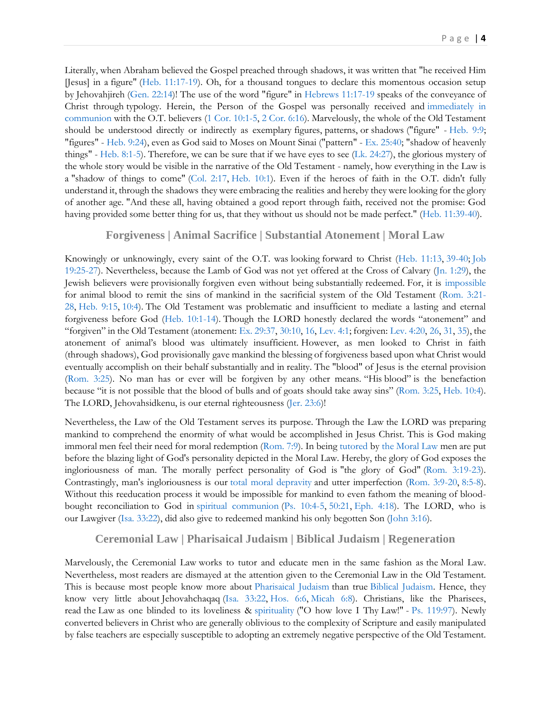Literally, when Abraham believed the Gospel preached through shadows, it was written that "he received Him [Jesus] in a figure" [\(Heb. 11:17-19\)](https://biblia.com/bible/kjv1900/Heb.%2011.17-19). Oh, for a thousand tongues to declare this momentous occasion setup by Jehovahjireh [\(Gen. 22:14\)](https://biblia.com/bible/kjv1900/Gen.%2022.14)! The use of the word "figure" in [Hebrews 11:17-19](https://biblia.com/bible/kjv1900/Heb%2011.17-19) speaks of the conveyance of Christ through typology. Herein, the Person of the Gospel was personally received and [immediately in](https://thechurchrealized.com/volume-1/chapter-3/israel-as-gods-people-the-implications/)  [communion](https://thechurchrealized.com/volume-1/chapter-3/israel-as-gods-people-the-implications/) with the O.T. believers [\(1 Cor. 10:1-5,](https://biblia.com/bible/kjv1900/1%20Cor.%2010.1-5) [2 Cor. 6:16\)](https://biblia.com/bible/kjv1900/2%20Cor.%206.16). Marvelously, the whole of the Old Testament should be understood directly or indirectly as exemplary figures, patterns, or shadows ("figure" - [Heb. 9:9;](https://biblia.com/bible/kjv1900/Heb.%209.9) "figures" - [Heb. 9:24\)](https://biblia.com/bible/kjv1900/Heb.%209.24), even as God said to Moses on Mount Sinai ("pattern" - [Ex. 25:40;](https://biblia.com/bible/kjv1900/Exod.%2025.40) "shadow of heavenly things" - [Heb. 8:1-5\)](https://biblia.com/bible/kjv1900/Heb.%208.1-5). Therefore, we can be sure that if we have eyes to see [\(Lk. 24:27\)](https://biblia.com/bible/kjv1900/Luke.%2024.27), the glorious mystery of the whole story would be visible in the narrative of the Old Testament - namely, how everything in the Law is a "shadow of things to come" [\(Col. 2:17,](https://biblia.com/bible/kjv1900/Col.%202.17) [Heb. 10:1\)](https://biblia.com/bible/kjv1900/Heb.%2010.1). Even if the heroes of faith in the O.T. didn't fully understand it, through the shadows they were embracing the realities and hereby they were looking for the glory of another age. "And these all, having obtained a good report through faith, received not the promise: God having provided some better thing for us, that they without us should not be made perfect." [\(Heb. 11:39-40\)](https://biblia.com/bible/kjv1900/Heb.%2011.39-40).

#### **Forgiveness | Animal Sacrifice | Substantial Atonement | Moral Law**

<span id="page-3-0"></span>Knowingly or unknowingly, every saint of the O.T. was looking forward to Christ [\(Heb. 11:13,](https://biblia.com/bible/kjv1900/Heb.%2011.13) [39-40;](https://biblia.com/bible/kjv1900/Heb%2011.39-40) [Job](https://biblia.com/bible/kjv1900/Job%2019.25-27)  [19:25-27\)](https://biblia.com/bible/kjv1900/Job%2019.25-27). Nevertheless, because the Lamb of God was not yet offered at the Cross of Calvary [\(Jn. 1:29\)](https://biblia.com/bible/kjv1900/John.%201.29), the Jewish believers were provisionally forgiven even without being substantially redeemed. For, it is [impossible](https://thechurchrealized.com/volume-2/chapter-12/the-law-in-the-book-of-romans/#3) for animal blood to remit the sins of mankind in the sacrificial system of the Old Testament [\(Rom. 3:21-](https://biblia.com/bible/kjv1900/Rom.%203.21-28) [28,](https://biblia.com/bible/kjv1900/Rom.%203.21-28) [Heb. 9:15,](https://biblia.com/bible/kjv1900/Heb.%209.15) [10:4\)](https://biblia.com/bible/kjv1900/Heb%2010.4). The Old Testament was problematic and insufficient to mediate a lasting and eternal forgiveness before God [\(Heb. 10:1-14\)](https://biblia.com/bible/kjv1900/Heb.%2010.1-14). Though the LORD honestly declared the words "atonement" and "forgiven" in the Old Testament (atonement: [Ex. 29:37,](https://biblia.com/bible/kjv1900/Exod.%2029.37) [30:10,](https://biblia.com/bible/kjv1900/Ex%2030.10) [16,](https://biblia.com/bible/kjv1900/Ex%2030.16) [Lev. 4:1;](https://biblia.com/bible/kjv1900/Lev.%204.1) forgiven: [Lev. 4:20,](https://biblia.com/bible/kjv1900/Lev.%204.20) [26,](https://biblia.com/bible/kjv1900/Lev%204.26) [31,](https://biblia.com/bible/kjv1900/Lev%204.31) [35\)](https://biblia.com/bible/kjv1900/Lev%204.35), the atonement of animal's blood was ultimately insufficient. However, as men looked to Christ in faith (through shadows), God provisionally gave mankind the blessing of forgiveness based upon what Christ would eventually accomplish on their behalf substantially and in reality. The "blood" of Jesus is the eternal provision [\(Rom. 3:25\)](https://biblia.com/bible/kjv1900/Rom.%203.25). No man has or ever will be forgiven by any other means. "His blood" is the benefaction because "it is not possible that the blood of bulls and of goats should take away sins" [\(Rom. 3:25,](https://biblia.com/bible/kjv1900/Rom.%203.25) [Heb. 10:4\)](https://biblia.com/bible/kjv1900/Heb.%2010.4). The LORD, Jehovahsidkenu, is our eternal righteousness [\(Jer. 23:6\)](https://biblia.com/bible/kjv1900/Jer.%2023.6)!

Nevertheless, the Law of the Old Testament serves its purpose. Through the Law the LORD was preparing mankind to comprehend the enormity of what would be accomplished in Jesus Christ. This is God making immoral men feel their need for moral redemption [\(Rom. 7:9\)](https://biblia.com/bible/kjv1900/Rom.%207.9). In being [tutored](https://thechurchrealized.com/volume-2/chapter-13/the-moral-law-is-a-tutor-depicting-gods-personality/) by [the Moral Law](https://thechurchrealized.com/volume-2/chapter-13/the-moral-law-is-a-tutor-depicting-gods-personality/) men are put before the blazing light of God's personality depicted in the Moral Law. Hereby, the glory of God exposes the ingloriousness of man. The morally perfect personality of God is "the glory of God" [\(Rom. 3:19-23\)](https://biblia.com/bible/kjv1900/Rom.%203.19-23). Contrastingly, man's ingloriousness is our [total moral depravity](http://www.thechurchofwells.com/in-agreement-with-gods-hatred.html) and utter imperfection [\(Rom. 3:9-20,](https://biblia.com/bible/kjv1900/Rom.%203.9-20) [8:5-8\)](https://biblia.com/bible/kjv1900/Rom%208.5-8). Without this reeducation process it would be impossible for mankind to even fathom the meaning of bloodbought reconciliation to God in [spiritual communion](https://thechurchrealized.com/volume-1/chapter-5/the-immediate-presence-of-god-immediate-judgments-against-sin/) [\(Ps. 10:4-5,](https://biblia.com/bible/kjv1900/Ps.%2010.4-5) [50:21,](https://biblia.com/bible/kjv1900/Ps%2050.21) [Eph. 4:18\)](https://biblia.com/bible/kjv1900/Eph.%204.18). The LORD, who is our Lawgiver [\(Isa. 33:22\)](https://biblia.com/bible/kjv1900/Isa.%2033.22), did also give to redeemed mankind his only begotten Son [\(John 3:16\)](https://biblia.com/bible/kjv1900/John%203.16).

#### **Ceremonial Law | Pharisaical Judaism | Biblical Judaism | Regeneration**

<span id="page-3-1"></span>Marvelously, the Ceremonial Law works to tutor and educate men in the same fashion as the Moral Law. Nevertheless, most readers are dismayed at the attention given to the Ceremonial Law in the Old Testament. This is because most people know more about [Pharisaical Judaism](https://thechurchrealized.com/volume-2/chapter-12/the-law-in-the-book-of-romans/) than true [Biblical Judaism.](https://thechurchrealized.com/volume-2/chapter-12/the-law-in-the-book-of-romans/) Hence, they know very little about Jehovahchaqaq [\(Isa. 33:22,](https://biblia.com/bible/kjv1900/Isa.%2033.22) [Hos. 6:6,](https://biblia.com/bible/kjv1900/Hos.%206.6) [Micah 6:8\)](https://biblia.com/bible/kjv1900/Micah%206.8). Christians, like the Pharisees, read the Law as one blinded to its loveliness & [spirituality](https://thechurchrealized.com/volume-2/chapter-13/the-spirituality-of-the-law/) ("O how love I Thy Law!" - [Ps. 119:97\)](https://biblia.com/bible/kjv1900/Ps.%20119.97). Newly converted believers in Christ who are generally oblivious to the complexity of Scripture and easily manipulated by false teachers are especially susceptible to adopting an extremely negative perspective of the Old Testament.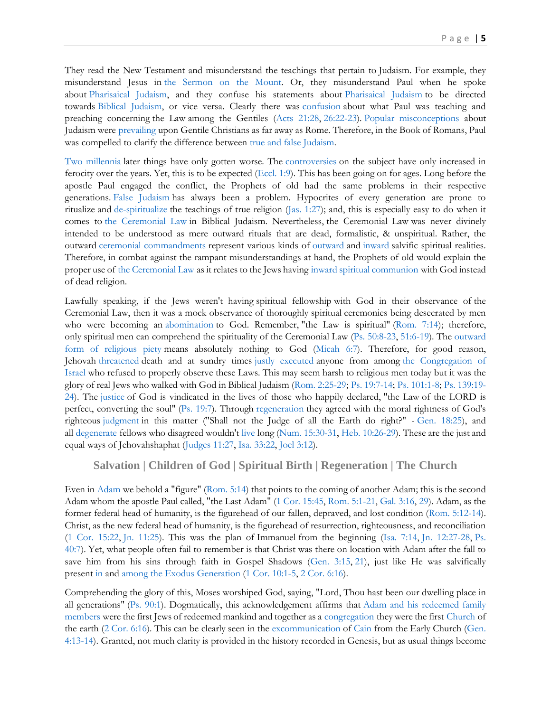They read the New Testament and misunderstand the teachings that pertain to Judaism. For example, they misunderstand Jesus in [the Sermon on the Mount.](https://thechurchrealized.com/volume-2/chapter-10/old-testament-righteousness-regeneration-in-summary/) Or, they misunderstand Paul when he spoke about [Pharisaical Judaism,](https://thechurchrealized.com/volume-2/chapter-12/the-law-in-the-book-of-romans/) and they confuse his statements about [Pharisaical Judaism](https://thechurchrealized.com/volume-2/chapter-12/the-law-in-the-book-of-romans/) to be directed towards [Biblical Judaism,](https://thechurchrealized.com/volume-2/chapter-12/the-law-in-the-book-of-romans/) or vice versa. Clearly there was [confusion](http://www.thechurchofwells.com/the-early-church-and-a-survey-of-biblical-missions-series.html) about what Paul was teaching and preaching concerning the Law among the Gentiles [\(Acts 21:28,](https://biblia.com/bible/kjv1900/Acts%2021.28) [26:22-23\)](https://biblia.com/bible/kjv1900/Acts%2026.22-23). [Popular misconceptions](https://thechurchrealized.com/volume-2/) about Judaism were [prevailing](http://www.thechurchofwells.com/the-early-church-and-a-survey-of-biblical-missions-series.html) upon Gentile Christians as far away as Rome. Therefore, in the Book of Romans, Paul was compelled to clarify the difference between [true and false Judaism.](https://thechurchrealized.com/volume-2/chapter-12/the-law-in-the-book-of-romans/)

[Two millennia](http://www.putoffthyshoes.com/church-history/until-the-iniquity-is-full-2000-years-of-church-history) later things have only gotten worse. The [controversies](https://thechurchrealized.com/volume-3/chapter-19/an-introduction-verified-born-hunted-credentialed-distinct/) on the subject have only increased in ferocity over the years. Yet, this is to be expected [\(Eccl. 1:9\)](https://biblia.com/bible/kjv1900/Eccles.%201.9). This has been going on for ages. Long before the apostle Paul engaged the conflict, the Prophets of old had the same problems in their respective generations. [False Judaism](https://thechurchrealized.com/volume-2/chapter-12/the-law-in-the-book-of-romans/) has always been a problem. Hypocrites of every generation are prone to ritualize and [de-spiritualize](https://thechurchrealized.com/volume-2/chapter-12/the-law-in-the-book-of-romans/#2) the teachings of true religion [\(Jas. 1:27\)](https://biblia.com/bible/kjv1900/James.%201.27); and, this is especially easy to do when it comes to [the Ceremonial Law](https://thechurchrealized.com/volume-2/chapter-11/introduction/) in Biblical Judaism. Nevertheless, the Ceremonial Law was never divinely intended to be understood as mere outward rituals that are dead, formalistic, & unspiritual. Rather, the outward [ceremonial commandments](https://thechurchrealized.com/volume-2/chapter-11/introduction/) represent various kinds of [outward](https://thechurchrealized.com/volume-3/chapter-18/fulfilled-disannulled-destroyed/#ceremonial_law) and [inward](https://thechurchrealized.com/volume-2/chapter-11/introduction/) salvific spiritual realities. Therefore, in combat against the rampant misunderstandings at hand, the Prophets of old would explain the proper use of [the Ceremonial Law](https://thechurchrealized.com/volume-2/chapter-11/introduction/) as it relates to the Jews having [inward spiritual communion](https://thechurchrealized.com/volume-2/chapter-11/old-testament-righteousness-regeneration-ceremonially-speaking/) with God instead of dead religion.

Lawfully speaking, if the Jews weren't having spiritual fellowship with God in their observance of the Ceremonial Law, then it was a mock observance of thoroughly spiritual ceremonies being desecrated by men who were becoming an [abomination](https://thechurchrealized.com/volume-1/chapter-9/theme-4/#becoming_an_abomination) to God. Remember, "the Law is spiritual" [\(Rom. 7:14\)](https://biblia.com/bible/kjv1900/Rom.%207.14); therefore, only spiritual men can comprehend the spirituality of the Ceremonial Law [\(Ps. 50:8-23,](https://biblia.com/bible/kjv1900/Ps.%2050.8-23) [51:6-19\)](https://biblia.com/bible/kjv1900/Ps%2051.6-19). The [outward](https://thechurchrealized.com/volume-1/chapter-6/theme-1/)  [form of religious piety](https://thechurchrealized.com/volume-1/chapter-6/theme-1/) means absolutely nothing to God [\(Micah 6:7\)](https://biblia.com/bible/kjv1900/Micah%206.7). Therefore, for good reason, Jehovah [threatened](https://thechurchrealized.com/volume-3/chapter-15/the-congregation/#ot) death and at sundry times [justly executed](https://thechurchrealized.com/volume-3/chapter-16/the-old-testament-how-it-was/) anyone from among [the Congregation of](https://thechurchrealized.com/volume-3/chapter-15/the-congregation/#ot)  [Israel](https://thechurchrealized.com/volume-3/chapter-15/the-congregation/#ot) who refused to properly observe these Laws. This may seem harsh to religious men today but it was the glory of real Jews who walked with God in Biblical Judaism [\(Rom. 2:25-29;](https://biblia.com/bible/kjv1900/Rom.%202.25-29) [Ps. 19:7-14;](https://biblia.com/bible/kjv1900/Ps.%2019.7-14) [Ps. 101:1-8;](https://biblia.com/bible/kjv1900/Ps.%20101.1-8) [Ps. 139:19-](https://biblia.com/bible/kjv1900/Ps.%20139.19-24) [24\)](https://biblia.com/bible/kjv1900/Ps.%20139.19-24). The [justice](https://thechurchrealized.com/volume-2/appendix-1/the-old-testament/) of God is vindicated in the lives of those who happily declared, "the Law of the LORD is perfect, converting the soul" [\(Ps. 19:7\)](https://biblia.com/bible/kjv1900/Ps.%2019.7). Through [regeneration](https://thechurchrealized.com/volume-2/chapter-13/old-testament-righteousness-regeneration-morally-speaking/) they agreed with the moral rightness of God's righteous [judgment](https://thechurchrealized.com/volume-2/appendix-1/the-old-testament/) in this matter ("Shall not the Judge of all the Earth do right?" - [Gen. 18:25\)](https://biblia.com/bible/kjv1900/Gen.%2018.25), and all [degenerate](https://thechurchrealized.com/volume-2/chapter-13/moral-degeneration-no-willful-sinners-allowed-in-israel-the-church/) fellows who disagreed wouldn't [live](https://thechurchrealized.com/volume-1/chapter-7/theme-2/) long [\(Num. 15:30-31,](https://biblia.com/bible/kjv1900/Num.%2015.30-31) [Heb. 10:26-29\)](https://biblia.com/bible/kjv1900/Heb.%2010.26-29). These are the just and equal ways of Jehovahshaphat [\(Judges 11:27,](https://biblia.com/bible/kjv1900/Judg%2011.27) [Isa. 33:22,](https://biblia.com/bible/kjv1900/Isa.%2033.22) [Joel 3:12\)](https://biblia.com/bible/kjv1900/Joel%203.12).

#### **Salvation | Children of God | Spiritual Birth | Regeneration | The Church**

<span id="page-4-0"></span>Even in [Adam](https://thechurchrealized.com/volume-2/chapter-12/the-law-in-the-book-of-romans/#5) we behold a "figure" [\(Rom. 5:14\)](https://biblia.com/bible/kjv1900/Rom.%205.14) that points to the coming of another Adam; this is the second Adam whom the apostle Paul called, "the Last Adam" [\(1 Cor. 15:45,](https://biblia.com/bible/kjv1900/1%20Cor.%2015.45) [Rom. 5:1-21,](https://biblia.com/bible/kjv1900/Rom.%205.1-21) [Gal. 3:16,](https://biblia.com/bible/kjv1900/Gal.%203.16) [29\)](https://biblia.com/bible/kjv1900/Gal%203.29). Adam, as the former federal head of humanity, is the figurehead of our fallen, depraved, and lost condition [\(Rom. 5:12-14\)](https://biblia.com/bible/kjv1900/Rom.%205.12-14). Christ, as the new federal head of humanity, is the figurehead of resurrection, righteousness, and reconciliation [\(1 Cor. 15:22,](https://biblia.com/bible/kjv1900/1%20Cor.%2015.22) [Jn. 11:25\)](https://biblia.com/bible/kjv1900/John.%2011.25). This was the plan of Immanuel from the beginning [\(Isa. 7:14,](https://biblia.com/bible/kjv1900/Isa.%207.14) [Jn. 12:27-28,](https://biblia.com/bible/kjv1900/John.%2012.27-28) [Ps.](https://biblia.com/bible/kjv1900/Ps.%2040.7)  [40:7\)](https://biblia.com/bible/kjv1900/Ps.%2040.7). Yet, what people often fail to remember is that Christ was there on location with Adam after the fall to save him from his sins through faith in Gospel Shadows [\(Gen. 3:15,](https://biblia.com/bible/kjv1900/Gen.%203.15) [21\)](https://biblia.com/bible/kjv1900/Gen%203.21), just like He was salvifically present [in](https://thechurchrealized.com/volume-1/chapter-3/israel-as-gods-people-the-implications/) and [among](https://thechurchrealized.com/volume-1/chapter-3/israel-as-gods-people-the-implications/) [the Exodus Generation](https://thechurchrealized.com/volume-1/chapter-1/israels-seed-in-the-exodus-generation/) [\(1 Cor. 10:1-5,](https://biblia.com/bible/kjv1900/1%20Cor.%2010.1-5) [2 Cor. 6:16\)](https://biblia.com/bible/kjv1900/2%20Cor.%206.16).

Comprehending the glory of this, Moses worshiped God, saying, "Lord, Thou hast been our dwelling place in all generations" [\(Ps. 90:1\)](https://biblia.com/bible/kjv1900/Ps.%2090.1). Dogmatically, this acknowledgement affirms that [Adam and his redeemed family](https://thechurchrealized.com/volume-1/chapter-2/the-church-from-its-beginning-genesis-unto-abraham/)  [members](https://thechurchrealized.com/volume-1/chapter-2/the-church-from-its-beginning-genesis-unto-abraham/) were the first Jews of redeemed mankind and together as a [congregation](https://thechurchrealized.com/volume-3/chapter-15/the-congregation/) they were the first [Church](https://thechurchrealized.com/volume-1/chapter-2/the-church-from-its-beginning-genesis-unto-abraham/) of the earth [\(2 Cor. 6:16\)](https://biblia.com/bible/kjv1900/2%20Cor.%206.16). This can be clearly seen in the [excommunication](https://thechurchrealized.com/volume-1/chapter-2/the-church-from-its-beginning-genesis-unto-abraham/) of [Cain](https://thechurchrealized.com/volume-1/chapter-2/the-church-from-its-beginning-genesis-unto-abraham/) from the Early Church [\(Gen.](https://biblia.com/bible/kjv1900/Gen.%204.13-14)  [4:13-14\)](https://biblia.com/bible/kjv1900/Gen.%204.13-14). Granted, not much clarity is provided in the history recorded in Genesis, but as usual things become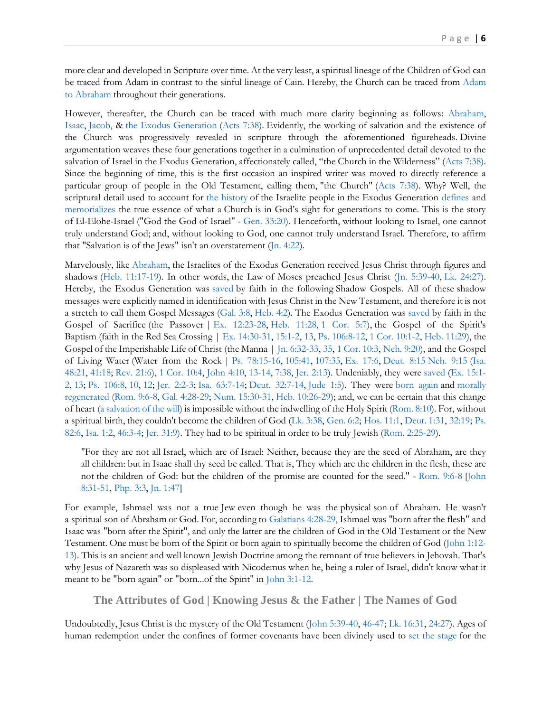more clear and developed in Scripture over time. At the very least, a spiritual lineage of the Children of God can be traced from Adam in contrast to the sinful lineage of Cain. Hereby, the Church can be traced from [Adam](https://thechurchrealized.com/volume-1/chapter-2/the-church-from-its-beginning-genesis-unto-abraham/)  [to Abraham](https://thechurchrealized.com/volume-1/chapter-2/the-church-from-its-beginning-genesis-unto-abraham/) throughout their generations.

However, thereafter, the Church can be traced with much more clarity beginning as follows: [Abraham,](https://thechurchrealized.com/volume-1/chapter-1/abrahams-salvation/) [Isaac,](https://thechurchrealized.com/volume-1/chapter-1/isaacs-salvation/) [Jacob,](https://thechurchrealized.com/volume-1/chapter-1/jacobs-salvation/) & [the Exodus Generation](https://thechurchrealized.com/volume-1/chapter-1/israels-seed-in-the-exodus-generation/) [\(Acts 7:38\)](https://biblia.com/bible/kjv1900/Acts%207.38). Evidently, the working of salvation and the existence of the Church was progressively revealed in scripture through the aforementioned figureheads. Divine argumentation weaves these four generations together in a culmination of unprecedented detail devoted to the salvation of Israel in the Exodus Generation, affectionately called, "the Church in the Wilderness" [\(Acts 7:38\)](https://biblia.com/bible/kjv1900/Acts%207.38). Since the beginning of time, this is the first occasion an inspired writer was moved to directly reference a particular group of people in the Old Testament, calling them, "the Church" [\(Acts 7:38\)](https://biblia.com/bible/kjv1900/Acts%207.38). Why? Well, the scriptural detail used to account for [the history](https://thechurchrealized.com/volume-1/chapter-1/israels-seed-in-the-exodus-generation/) of the Israelite people in the Exodus Generation [defines](https://thechurchrealized.com/volume-1/chapter-2/the-church-defined-recalled-revived/) and [memorializes](https://thechurchrealized.com/volume-1/chapter-2/the-church-defined-recalled-revived/) the true essence of what a Church is in God's sight for generations to come. This is the story of El-Elohe-Israel ("God the God of Israel" - [Gen. 33:20\)](https://biblia.com/bible/kjv1900/Gen.%2033.20). Henceforth, without looking to Israel, one cannot truly understand God; and, without looking to God, one cannot truly understand Israel. Therefore, to affirm that "Salvation is of the Jews" isn't an overstatement [\(Jn. 4:22\)](https://biblia.com/bible/kjv1900/John.%204.22).

Marvelously, like [Abraham,](http://www.thecondescensionofgod.com/5---abrahamic-exemplification.html) the Israelites of the Exodus Generation received Jesus Christ through figures and shadows [\(Heb. 11:17-19\)](https://biblia.com/bible/kjv1900/Heb.%2011.17-19). In other words, the Law of Moses preached Jesus Christ [\(Jn. 5:39-40,](https://biblia.com/bible/kjv1900/John.%205.39-40) [Lk. 24:27\)](https://biblia.com/bible/kjv1900/Luke.%2024.27). Hereby, the Exodus Generation was [saved](https://thechurchrealized.com/volume-1/chapter-1/israels-seed-in-the-exodus-generation/) by faith in the following Shadow Gospels. All of these shadow messages were explicitly named in identification with Jesus Christ in the New Testament, and therefore it is not a stretch to call them Gospel Messages [\(Gal. 3:8,](https://biblia.com/bible/kjv1900/Gal.%203.8) [Heb. 4:2\)](https://biblia.com/bible/kjv1900/Heb.%204.2). The Exodus Generation was [saved](https://thechurchrealized.com/volume-1/chapter-1/israels-seed-in-the-exodus-generation/) by faith in the Gospel of Sacrifice (the Passover | [Ex. 12:23-28,](https://biblia.com/bible/kjv1900/Exod.%2012.23-28) [Heb. 11:28,](https://biblia.com/bible/kjv1900/Heb.%2011.28) [1 Cor. 5:7\)](https://biblia.com/bible/kjv1900/1%20Cor.%205.7), the Gospel of the Spirit's Baptism (faith in the Red Sea Crossing | [Ex. 14:30-31,](https://biblia.com/bible/kjv1900/Exod.%2014.30-31) [15:1-2,](https://biblia.com/bible/kjv1900/Ex%2015.1-2) [13,](https://biblia.com/bible/kjv1900/Ex%2015.13) [Ps. 106:8-12,](https://biblia.com/bible/kjv1900/Ps.%20106.8-12) [1 Cor. 10:1-2,](https://biblia.com/bible/kjv1900/1%20Cor.%2010.1-2) [Heb. 11:29\)](https://biblia.com/bible/kjv1900/Heb.%2011.29), the Gospel of the Imperishable Life of Christ (the Manna | [Jn. 6:32-33,](https://biblia.com/bible/kjv1900/John.%206.32-33) [35,](https://biblia.com/bible/kjv1900/Jn%206.35) [1 Cor. 10:3,](https://biblia.com/bible/kjv1900/1%20Cor.%2010.3) [Neh. 9:20\)](https://biblia.com/bible/kjv1900/Neh.%209.20), and the Gospel of Living Water (Water from the Rock | [Ps. 78:15-16,](https://biblia.com/bible/kjv1900/Ps.%2078.15-16) [105:41,](https://biblia.com/bible/kjv1900/Ps%20105.41) [107:35,](https://biblia.com/bible/kjv1900/Ps%20107.35) [Ex. 17:6,](https://biblia.com/bible/kjv1900/Exod.%2017.6) [Deut. 8:15](https://biblia.com/bible/kjv1900/Deut.%208.15) [Neh. 9:15](https://biblia.com/bible/kjv1900/Neh.%209.15) [\(Isa.](https://biblia.com/bible/kjv1900/Isa.%2048.21)  [48:21,](https://biblia.com/bible/kjv1900/Isa.%2048.21) [41:18;](https://biblia.com/bible/kjv1900/Isa%2041.18) [Rev. 21:6\)](https://biblia.com/bible/kjv1900/Rev.%2021.6), [1 Cor. 10:4,](https://biblia.com/bible/kjv1900/1%20Cor.%2010.4) [John 4:10,](https://biblia.com/bible/kjv1900/John%204.10) [13-14,](https://biblia.com/bible/kjv1900/John%204.13-14) [7:38,](https://biblia.com/bible/kjv1900/John%207.38) [Jer. 2:13\)](https://biblia.com/bible/kjv1900/Jer.%202.13). Undeniably, they were [saved](https://thechurchrealized.com/volume-1/chapter-1/israels-seed-in-the-exodus-generation/) [\(Ex. 15:1-](https://biblia.com/bible/kjv1900/Exod.%2015.1-2) [2,](https://biblia.com/bible/kjv1900/Exod.%2015.1-2) [13;](https://biblia.com/bible/kjv1900/Ex%2015.13) [Ps. 106:8,](https://biblia.com/bible/kjv1900/Ps.%20106.8) [10,](https://biblia.com/bible/kjv1900/Ps%20106.10) [12;](https://biblia.com/bible/kjv1900/Ps%20106.12) [Jer. 2:2-3;](https://biblia.com/bible/kjv1900/Jer.%202.2-3) [Isa. 63:7-14;](https://biblia.com/bible/kjv1900/Isa.%2063.7-14) [Deut. 32:7-14,](https://biblia.com/bible/kjv1900/Deut.%2032.7-14) [Jude 1:5\)](https://biblia.com/bible/kjv1900/Jude%201.5). They were [born again](https://thechurchrealized.com/volume-2/chapter-11/old-testament-righteousness-regeneration-ceremonially-speaking/#second_birth) and [morally](https://thechurchrealized.com/volume-2/chapter-13/old-testament-righteousness-regeneration-morally-speaking/)  [regenerated](https://thechurchrealized.com/volume-2/chapter-13/old-testament-righteousness-regeneration-morally-speaking/) [\(Rom. 9:6-8,](https://biblia.com/bible/kjv1900/Rom.%209.6-8) [Gal. 4:28-29;](https://biblia.com/bible/kjv1900/Gal.%204.28-29) [Num. 15:30-31,](https://biblia.com/bible/kjv1900/Num.%2015.30-31) [Heb. 10:26-29\)](https://biblia.com/bible/kjv1900/Heb.%2010.26-29); and, we can be certain that this change of heart [\(a salvation of the will\)](http://www.thechurchofwellsresponds.com/chapter-1-if-we-sin-wilfully---heb-1026.html#necessary-explanation) is impossible without the indwelling of the Holy Spirit [\(Rom. 8:10\)](https://biblia.com/bible/kjv1900/Rom.%208.10). For, without a spiritual birth, they couldn't become the children of God [\(Lk. 3:38,](https://biblia.com/bible/kjv1900/Luke.%203.38) [Gen. 6:2;](https://biblia.com/bible/kjv1900/Gen.%206.2) [Hos. 11:1,](https://biblia.com/bible/kjv1900/Hos.%2011.1) [Deut. 1:31,](https://biblia.com/bible/kjv1900/Deut.%201.31) [32:19;](https://biblia.com/bible/kjv1900/Deut%2032.19) [Ps.](https://biblia.com/bible/kjv1900/Ps.%2082.6)  [82:6,](https://biblia.com/bible/kjv1900/Ps.%2082.6) [Isa. 1:2,](https://biblia.com/bible/kjv1900/Isa.%201.2) [46:3-4;](https://biblia.com/bible/kjv1900/Isa%2046.3-4) [Jer. 31:9\)](https://biblia.com/bible/kjv1900/Jer.%2031.9). They had to be spiritual in order to be truly Jewish [\(Rom. 2:25-29\)](https://biblia.com/bible/kjv1900/Rom.%202.25-29).

"For they are not all Israel, which are of Israel: Neither, because they are the seed of Abraham, are they all children: but in Isaac shall thy seed be called. That is, They which are the children in the flesh, these are not the children of God: but the children of the promise are counted for the seed." - [Rom. 9:6-8](https://biblia.com/bible/kjv1900/Rom.%209.6-8) [\[John](https://biblia.com/bible/kjv1900/John%208.31-51)  [8:31-51,](https://biblia.com/bible/kjv1900/John%208.31-51) [Php. 3:3,](https://biblia.com/bible/kjv1900/Phil.%203.3) [Jn. 1:47\]](https://biblia.com/bible/kjv1900/John.%201.47)

For example, Ishmael was not a true Jew even though he was the physical son of Abraham. He wasn't a spiritual son of Abraham or God. For, according to [Galatians 4:28-29,](https://biblia.com/bible/kjv1900/Gal%204.28-29) Ishmael was "born after the flesh" and Isaac was "born after the Spirit", and only the latter are the children of God in the Old Testament or the New Testament. One must be born of the Spirit or born again to spiritually become the children of God [\(John 1:12-](https://biblia.com/bible/kjv1900/John%201.12-13) [13\)](https://biblia.com/bible/kjv1900/John%201.12-13). This is an ancient and well known Jewish Doctrine among the remnant of true believers in Jehovah. That's why Jesus of Nazareth was so displeased with Nicodemus when he, being a ruler of Israel, didn't know what it meant to be "born again" or "born...of the Spirit" in [John 3:1-12.](https://biblia.com/bible/kjv1900/John%203.1-12)

**The Attributes of God | Knowing Jesus & the Father | The Names of God**

<span id="page-5-0"></span>Undoubtedly, Jesus Christ is the mystery of the Old Testament [\(John 5:39-40,](https://biblia.com/bible/kjv1900/John%205.39-40) [46-47;](https://biblia.com/bible/kjv1900/John%205.46-47) [Lk. 16:31,](https://biblia.com/bible/kjv1900/Luke.%2016.31) [24:27\)](https://biblia.com/bible/kjv1900/Lk%2024.27). Ages of human redemption under the confines of former covenants have been divinely used to [set the stage](https://www.therevelationofjesuschrist.org/books/the-age-ending-revival/the-unrealized-divine-repentance-extending-beyond-david-s-lifetime#the-gospel-of-david-the-gospel-of-isaiah-the-everlasting-gospel) for the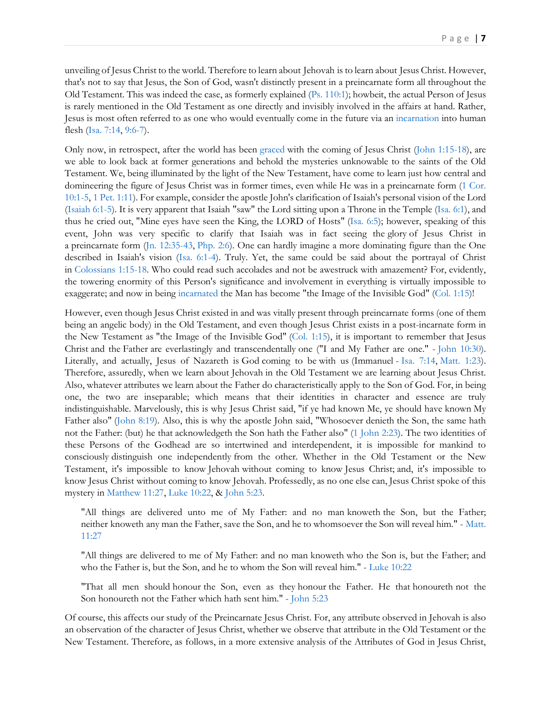unveiling of Jesus Christ to the world. Therefore to learn about Jehovah is to learn about Jesus Christ. However, that's not to say that Jesus, the Son of God, wasn't distinctly present in a preincarnate form all throughout the Old Testament. This was indeed the case, as formerly explained [\(Ps. 110:1\)](https://biblia.com/bible/kjv1900/Ps.%20110.1); howbeit, the actual Person of Jesus is rarely mentioned in the Old Testament as one directly and invisibly involved in the affairs at hand. Rather, Jesus is most often referred to as one who would eventually come in the future via an [incarnation](http://www.thechurchofwells.com/the-incarnation-of-christ.html) into human flesh [\(Isa. 7:14,](https://biblia.com/bible/kjv1900/Isa.%207.14) [9:6-7\)](https://biblia.com/bible/kjv1900/Isa%209.6-7).

Only now, in retrospect, after the world has been [graced](https://www.therevelationofjesuschrist.org/books/a-commentary-on-the-book-of-revelation/revelation-4-6/the-breaking-of-the-seals-of-the-book-explaining-vindicating-the-past#_Toc5182803) with the coming of Jesus Christ [\(John 1:15-18\)](https://biblia.com/bible/kjv1900/John%201.15-18), are we able to look back at former generations and behold the mysteries unknowable to the saints of the Old Testament. We, being illuminated by the light of the New Testament, have come to learn just how central and domineering the figure of Jesus Christ was in former times, even while He was in a preincarnate form [\(1 Cor.](https://biblia.com/bible/kjv1900/1%20Cor.%2010.1-5)  [10:1-5,](https://biblia.com/bible/kjv1900/1%20Cor.%2010.1-5) [1 Pet. 1:11\)](https://biblia.com/bible/kjv1900/1%20Pet.%201.11). For example, consider the apostle John's clarification of Isaiah's personal vision of the Lord [\(Isaiah 6:1-5\)](https://biblia.com/bible/kjv1900/Isa%206.1-5). It is very apparent that Isaiah "saw" the Lord sitting upon a Throne in the Temple [\(Isa. 6:1\)](https://biblia.com/bible/kjv1900/Isa.%206.1), and thus he cried out, "Mine eyes have seen the King, the LORD of Hosts" [\(Isa. 6:5\)](https://biblia.com/bible/kjv1900/Isa.%206.5); however, speaking of this event, John was very specific to clarify that Isaiah was in fact seeing the glory of Jesus Christ in a preincarnate form [\(Jn. 12:35-43,](https://biblia.com/bible/kjv1900/John.%2012.35-43) [Php. 2:6\)](https://biblia.com/bible/kjv1900/Phil.%202.6). One can hardly imagine a more dominating figure than the One described in Isaiah's vision [\(Isa. 6:1-4\)](https://biblia.com/bible/kjv1900/Isa.%206.1-4). Truly. Yet, the same could be said about the portrayal of Christ in [Colossians 1:15-18.](https://biblia.com/bible/kjv1900/Col%201.15-18) Who could read such accolades and not be awestruck with amazement? For, evidently, the towering enormity of this Person's significance and involvement in everything is virtually impossible to exaggerate; and now in being [incarnated](http://www.thechurchofwells.com/the-incarnation-of-christ.html) the Man has become "the Image of the Invisible God" [\(Col. 1:15\)](https://biblia.com/bible/kjv1900/Col.%201.15)!

However, even though Jesus Christ existed in and was vitally present through preincarnate forms (one of them being an angelic body) in the Old Testament, and even though Jesus Christ exists in a post-incarnate form in the New Testament as "the Image of the Invisible God" [\(Col. 1:15\)](https://biblia.com/bible/kjv1900/Col.%201.15), it is important to remember that Jesus Christ and the Father are everlastingly and transcendentally one ("I and My Father are one." - [John 10:30\)](https://biblia.com/bible/kjv1900/John%2010.30). Literally, and actually, Jesus of Nazareth is God coming to be with us (Immanuel - [Isa. 7:14,](https://biblia.com/bible/kjv1900/Isa.%207.14) [Matt. 1:23\)](https://biblia.com/bible/kjv1900/Matt.%201.23). Therefore, assuredly, when we learn about Jehovah in the Old Testament we are learning about Jesus Christ. Also, whatever attributes we learn about the Father do characteristically apply to the Son of God. For, in being one, the two are inseparable; which means that their identities in character and essence are truly indistinguishable. Marvelously, this is why Jesus Christ said, "if ye had known Me, ye should have known My Father also" [\(John 8:19\)](https://biblia.com/bible/kjv1900/John%208.19). Also, this is why the apostle John said, "Whosoever denieth the Son, the same hath not the Father: (but) he that acknowledgeth the Son hath the Father also" [\(1 John 2:23\)](https://biblia.com/bible/kjv1900/1%20John%202.23). The two identities of these Persons of the Godhead are so intertwined and interdependent, it is impossible for mankind to consciously distinguish one independently from the other. Whether in the Old Testament or the New Testament, it's impossible to know Jehovah without coming to know Jesus Christ; and, it's impossible to know Jesus Christ without coming to know Jehovah. Professedly, as no one else can, Jesus Christ spoke of this mystery in [Matthew 11:27,](https://biblia.com/bible/kjv1900/Matt%2011.27) [Luke 10:22,](https://biblia.com/bible/kjv1900/Luke%2010.22) & [John 5:23.](https://biblia.com/bible/kjv1900/John%205.23)

"All things are delivered unto me of My Father: and no man knoweth the Son, but the Father; neither knoweth any man the Father, save the Son, and he to whomsoever the Son will reveal him." - [Matt.](https://biblia.com/bible/kjv1900/Matt.%2011.27)  [11:27](https://biblia.com/bible/kjv1900/Matt.%2011.27)

"All things are delivered to me of My Father: and no man knoweth who the Son is, but the Father; and who the Father is, but the Son, and he to whom the Son will reveal him." - [Luke 10:22](https://biblia.com/bible/kjv1900/Luke%2010.22)

"That all men should honour the Son, even as they honour the Father. He that honoureth not the Son honoureth not the Father which hath sent him." - [John 5:23](https://biblia.com/bible/kjv1900/John%205.23)

Of course, this affects our study of the Preincarnate Jesus Christ. For, any attribute observed in Jehovah is also an observation of the character of Jesus Christ, whether we observe that attribute in the Old Testament or the New Testament. Therefore, as follows, in a more extensive analysis of the Attributes of God in Jesus Christ,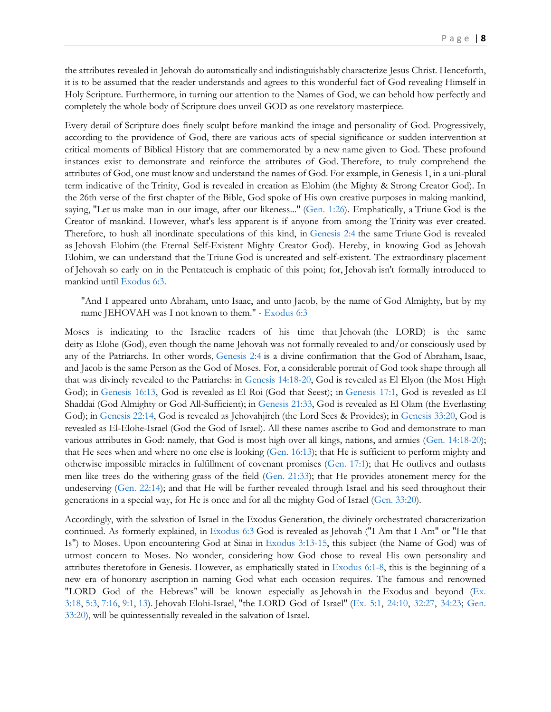the attributes revealed in Jehovah do automatically and indistinguishably characterize Jesus Christ. Henceforth, it is to be assumed that the reader understands and agrees to this wonderful fact of God revealing Himself in Holy Scripture. Furthermore, in turning our attention to the Names of God, we can behold how perfectly and completely the whole body of Scripture does unveil GOD as one revelatory masterpiece.

Every detail of Scripture does finely sculpt before mankind the image and personality of God. Progressively, according to the providence of God, there are various acts of special significance or sudden intervention at critical moments of Biblical History that are commemorated by a new name given to God. These profound instances exist to demonstrate and reinforce the attributes of God. Therefore, to truly comprehend the attributes of God, one must know and understand the names of God. For example, in Genesis 1, in a uni-plural term indicative of the Trinity, God is revealed in creation as Elohim (the Mighty & Strong Creator God). In the 26th verse of the first chapter of the Bible, God spoke of His own creative purposes in making mankind, saying, "Let us make man in our image, after our likeness..." [\(Gen. 1:26\)](https://biblia.com/bible/kjv1900/Gen.%201.26). Emphatically, a Triune God is the Creator of mankind. However, what's less apparent is if anyone from among the Trinity was ever created. Therefore, to hush all inordinate speculations of this kind, in [Genesis 2:4](https://biblia.com/bible/kjv1900/Gen%202.4) the same Triune God is revealed as Jehovah Elohim (the Eternal Self-Existent Mighty Creator God). Hereby, in knowing God as Jehovah Elohim, we can understand that the Triune God is uncreated and self-existent. The extraordinary placement of Jehovah so early on in the Pentateuch is emphatic of this point; for, Jehovah isn't formally introduced to mankind until [Exodus 6:3.](https://biblia.com/bible/kjv1900/Exod%206.3)

"And I appeared unto Abraham, unto Isaac, and unto Jacob, by the name of God Almighty, but by my name JEHOVAH was I not known to them." - [Exodus 6:3](https://biblia.com/bible/kjv1900/Exod%206.3)

Moses is indicating to the Israelite readers of his time that Jehovah (the LORD) is the same deity as Elohe (God), even though the name Jehovah was not formally revealed to and/or consciously used by any of the Patriarchs. In other words, [Genesis 2:4](https://biblia.com/bible/kjv1900/Gen%202.4) is a divine confirmation that the God of Abraham, Isaac, and Jacob is the same Person as the God of Moses. For, a considerable portrait of God took shape through all that was divinely revealed to the Patriarchs: in [Genesis 14:18-20,](https://biblia.com/bible/kjv1900/Gen%2014.18-20) God is revealed as El Elyon (the Most High God); in [Genesis 16:13,](https://biblia.com/bible/kjv1900/Gen%2016.13) God is revealed as El Roi (God that Seest); in [Genesis 17:1,](https://biblia.com/bible/kjv1900/Gen%2017.1) God is revealed as El Shaddai (God Almighty or God All-Sufficient); in [Genesis 21:33,](https://biblia.com/bible/kjv1900/Gen%2021.33) God is revealed as El Olam (the Everlasting God); in [Genesis 22:14,](https://biblia.com/bible/kjv1900/Gen%2022.14) God is revealed as Jehovahjireh (the Lord Sees & Provides); in [Genesis 33:20,](https://biblia.com/bible/kjv1900/Gen%2033.20) God is revealed as El-Elohe-Israel (God the God of Israel). All these names ascribe to God and demonstrate to man various attributes in God: namely, that God is most high over all kings, nations, and armies [\(Gen. 14:18-20\)](https://biblia.com/bible/kjv1900/Gen.%2014.18-20); that He sees when and where no one else is looking [\(Gen. 16:13\)](https://biblia.com/bible/kjv1900/Gen.%2016.13); that He is sufficient to perform mighty and otherwise impossible miracles in fulfillment of covenant promises [\(Gen. 17:1\)](https://biblia.com/bible/kjv1900/Gen.%2017.1); that He outlives and outlasts men like trees do the withering grass of the field [\(Gen. 21:33\)](https://biblia.com/bible/kjv1900/Gen.%2021.33); that He provides atonement mercy for the undeserving [\(Gen. 22:14\)](https://biblia.com/bible/kjv1900/Gen.%2022.14); and that He will be further revealed through Israel and his seed throughout their generations in a special way, for He is once and for all the mighty God of Israel [\(Gen. 33:20\)](https://biblia.com/bible/kjv1900/Gen.%2033.20).

Accordingly, with the salvation of Israel in the Exodus Generation, the divinely orchestrated characterization continued. As formerly explained, in [Exodus 6:3](https://biblia.com/bible/kjv1900/Exod%206.3) God is revealed as Jehovah ("I Am that I Am" or "He that Is") to Moses. Upon encountering God at Sinai in [Exodus 3:13-15,](https://biblia.com/bible/kjv1900/Exod%203.13-15) this subject (the Name of God) was of utmost concern to Moses. No wonder, considering how God chose to reveal His own personality and attributes theretofore in Genesis. However, as emphatically stated in [Exodus 6:1-8,](https://biblia.com/bible/kjv1900/Exod%206.1-8) this is the beginning of a new era of honorary ascription in naming God what each occasion requires. The famous and renowned "LORD God of the Hebrews" will be known especially as Jehovah in the Exodus and beyond [\(Ex.](https://biblia.com/bible/kjv1900/Exod.%203.18)  [3:18,](https://biblia.com/bible/kjv1900/Exod.%203.18) [5:3,](https://biblia.com/bible/kjv1900/Ex%205.3) [7:16,](https://biblia.com/bible/kjv1900/Ex%207.16) [9:1,](https://biblia.com/bible/kjv1900/Ex%209.1) [13\)](https://biblia.com/bible/kjv1900/Ex%209.13). Jehovah Elohi-Israel, "the LORD God of Israel" [\(Ex. 5:1,](https://biblia.com/bible/kjv1900/Exod.%205.1) [24:10,](https://biblia.com/bible/kjv1900/Ex%2024.10) [32:27,](https://biblia.com/bible/kjv1900/Ex%2032.27) [34:23;](https://biblia.com/bible/kjv1900/Ex%2034.23) [Gen.](https://biblia.com/bible/kjv1900/Gen.%2033.20)  [33:20\)](https://biblia.com/bible/kjv1900/Gen.%2033.20), will be quintessentially revealed in the salvation of Israel.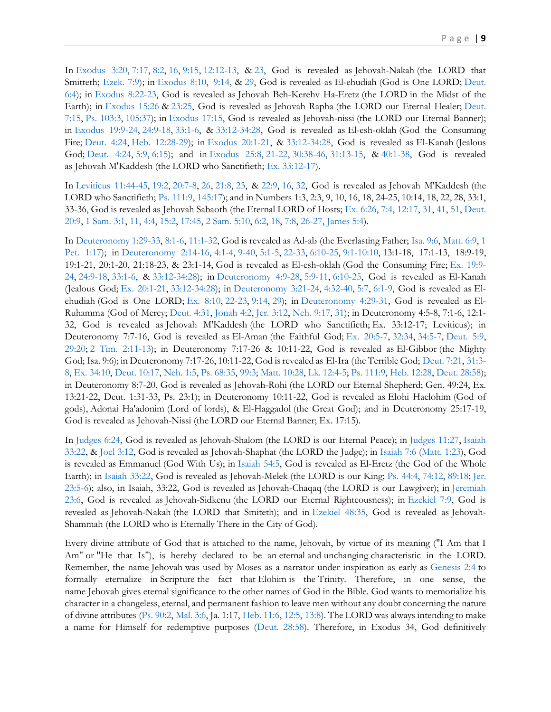In [Exodus 3:20,](https://biblia.com/bible/kjv1900/Exod%203.20) [7:17,](https://biblia.com/bible/kjv1900/Exodus%207.17) [8:2,](https://biblia.com/bible/kjv1900/Exodus%208.2) [16,](https://biblia.com/bible/kjv1900/Exodus%208.16) [9:15,](https://biblia.com/bible/kjv1900/Exodus%209.15) [12:12-13,](https://biblia.com/bible/kjv1900/Exodus%2012.12-13) & [23,](https://biblia.com/bible/kjv1900/Exodus%2012.23) God is revealed as Jehovah-Nakah (the LORD that Smitteth; [Ezek. 7:9\)](https://biblia.com/bible/kjv1900/Ezek.%207.9); in [Exodus 8:10,](https://biblia.com/bible/kjv1900/Exod%208.10) [9:14,](https://biblia.com/bible/kjv1900/Exodus%209.14) & [29,](https://biblia.com/bible/kjv1900/Exodus%209.29) God is revealed as El-ehudiah (God is One LORD; [Deut.](https://biblia.com/bible/kjv1900/Deut.%206.4)  [6:4\)](https://biblia.com/bible/kjv1900/Deut.%206.4); in [Exodus 8:22-23,](https://biblia.com/bible/kjv1900/Exod%208.22-23) God is revealed as Jehovah Beh-Kerehv Ha-Eretz (the LORD in the Midst of the Earth); in [Exodus 15:26](https://biblia.com/bible/kjv1900/Exod%2015.26) & [23:25,](https://biblia.com/bible/kjv1900/Exodus%2023.25) God is revealed as Jehovah Rapha (the LORD our Eternal Healer; [Deut.](https://biblia.com/bible/kjv1900/Deut.%207.15)  [7:15,](https://biblia.com/bible/kjv1900/Deut.%207.15) [Ps. 103:3,](https://biblia.com/bible/kjv1900/Ps.%20103.3) [105:37\)](https://biblia.com/bible/kjv1900/Ps%20105.37); in [Exodus 17:15,](https://biblia.com/bible/kjv1900/Exod%2017.15) God is revealed as Jehovah-nissi (the LORD our Eternal Banner); in [Exodus 19:9-24,](https://biblia.com/bible/kjv1900/Exod%2019.9-24) [24:9-18,](https://biblia.com/bible/kjv1900/Exodus%2024.9-18) [33:1-6,](https://biblia.com/bible/kjv1900/Exodus%2033.1-6) & [33:12-34:28,](https://biblia.com/bible/kjv1900/Exodus%2033.12-34.28) God is revealed as El-esh-oklah (God the Consuming Fire; [Deut. 4:24,](https://biblia.com/bible/kjv1900/Deut.%204.24) [Heb. 12:28-29\)](https://biblia.com/bible/kjv1900/Heb.%2012.28-29); in [Exodus 20:1-21,](https://biblia.com/bible/kjv1900/Exod%2020.1-21) & [33:12-34:28,](https://biblia.com/bible/kjv1900/Exodus%2033.12-34.28) God is revealed as El-Kanah (Jealous God; [Deut. 4:24,](https://biblia.com/bible/kjv1900/Deut.%204.24) [5:9,](https://biblia.com/bible/kjv1900/Deut%205.9) [6:15\)](https://biblia.com/bible/kjv1900/Deut%206.15); and in [Exodus 25:8,](https://biblia.com/bible/kjv1900/Exod%2025.8) [21-22,](https://biblia.com/bible/kjv1900/Exodus%2025.21-22) [30:38-46,](https://biblia.com/bible/kjv1900/Exodus%2030.38-46) [31:13-15,](https://biblia.com/bible/kjv1900/Exodus%2031.13-15) & [40:1-38,](https://biblia.com/bible/kjv1900/Exodus%2040.1-38) God is revealed as Jehovah M'Kaddesh (the LORD who Sanctifieth; [Ex. 33:12-17\)](https://biblia.com/bible/kjv1900/Exod.%2033.12-17).

In [Leviticus 11:44-45,](https://biblia.com/bible/kjv1900/Lev%2011.44-45) [19:2,](https://biblia.com/bible/kjv1900/Leviticus%2019.2) [20:7-8,](https://biblia.com/bible/kjv1900/Leviticus%2020.7-8) [26,](https://biblia.com/bible/kjv1900/Leviticus%2020.26) [21:8,](https://biblia.com/bible/kjv1900/Leviticus%2021.8) [23,](https://biblia.com/bible/kjv1900/Leviticus%2021.23) & [22:9,](https://biblia.com/bible/kjv1900/Leviticus%2022.9) [16,](https://biblia.com/bible/kjv1900/Leviticus%2022.16) [32,](https://biblia.com/bible/kjv1900/Leviticus%2022.32) God is revealed as Jehovah M'Kaddesh (the LORD who Sanctifieth; [Ps. 111:9,](https://biblia.com/bible/kjv1900/Ps.%20111.9) [145:17\)](https://biblia.com/bible/kjv1900/Ps%20145.17); and in Numbers 1:3, 2:3, 9, 10, 16, 18, 24-25, 10:14, 18, 22, 28, 33:1, 33-36, God is revealed as Jehovah Sabaoth (the Eternal LORD of Hosts; [Ex. 6:26,](https://biblia.com/bible/kjv1900/Exod.%206.26) [7:4,](https://biblia.com/bible/kjv1900/Ex%207.4) [12:17,](https://biblia.com/bible/kjv1900/Ex%2012.17) [31,](https://biblia.com/bible/kjv1900/Ex%2012.31) [41,](https://biblia.com/bible/kjv1900/Ex%2012.41) [51,](https://biblia.com/bible/kjv1900/Ex%2012.51) [Deut.](https://biblia.com/bible/kjv1900/Deut.%2020.9)  [20:9,](https://biblia.com/bible/kjv1900/Deut.%2020.9) [1 Sam. 3:1,](https://biblia.com/bible/kjv1900/1%20Sam.%203.1) [11,](https://biblia.com/bible/kjv1900/1%20Sam%203.11) [4:4,](https://biblia.com/bible/kjv1900/1%20Sam%204.4) [15:2,](https://biblia.com/bible/kjv1900/1%20Sam%2015.2) [17:45,](https://biblia.com/bible/kjv1900/1%20Sam%2017.45) [2 Sam. 5:10,](https://biblia.com/bible/kjv1900/2%20Sam.%205.10) [6:2,](https://biblia.com/bible/kjv1900/2%20Sam%206.2) [18,](https://biblia.com/bible/kjv1900/2%20Sam%206.18) [7:8,](https://biblia.com/bible/kjv1900/2%20Sam%207.8) [26-27,](https://biblia.com/bible/kjv1900/2%20Sam%207.26-27) [James 5:4\)](https://biblia.com/bible/kjv1900/James%205.4).

In [Deuteronomy 1:29-33,](https://biblia.com/bible/kjv1900/Deut%201.29-33) [8:1-6,](https://biblia.com/bible/kjv1900/Deuteronomy%208.1-6) [11:1-32,](https://biblia.com/bible/kjv1900/Deuteronomy%2011.1-32) God is revealed as Ad-ab (the Everlasting Father; [Isa. 9:6,](https://biblia.com/bible/kjv1900/Isa.%209.6) [Matt. 6:9,](https://biblia.com/bible/kjv1900/Matt.%206.9) [1](https://biblia.com/bible/kjv1900/1%20Pet.%201.17)  [Pet. 1:17\)](https://biblia.com/bible/kjv1900/1%20Pet.%201.17); in [Deuteronomy 2:14-16,](https://biblia.com/bible/kjv1900/Deut%202.14-16) [4:1-4,](https://biblia.com/bible/kjv1900/Deuteronomy%204.1-4) [9-40,](https://biblia.com/bible/kjv1900/Deuteronomy%204.9-40) [5:1-5,](https://biblia.com/bible/kjv1900/Deuteronomy%205.1-5) [22-33,](https://biblia.com/bible/kjv1900/Deuteronomy%205.22-33) [6:10-25,](https://biblia.com/bible/kjv1900/Deuteronomy%206.10-25) [9:1-10:10,](https://biblia.com/bible/kjv1900/Deuteronomy%209.1-10.10) 13:1-18, 17:1-13, 18:9-19, 19:1-21, 20:1-20, 21:18-23, & 23:1-14, God is revealed as El-esh-oklah (God the Consuming Fire; [Ex. 19:9-](https://biblia.com/bible/kjv1900/Exod.%2019.9-24) [24,](https://biblia.com/bible/kjv1900/Exod.%2019.9-24) [24:9-18,](https://biblia.com/bible/kjv1900/Ex%2024.9-18) [33:1-6,](https://biblia.com/bible/kjv1900/Ex%2033.1-6) & [33:12-34:28\)](https://biblia.com/bible/kjv1900/Ex%2033.12-34.28); in [Deuteronomy 4:9-28,](https://biblia.com/bible/kjv1900/Deut%204.9-28) [5:9-11,](https://biblia.com/bible/kjv1900/Deuteronomy%205.9-11) [6:10-25,](https://biblia.com/bible/kjv1900/Deuteronomy%206.10-25) God is revealed as El-Kanah (Jealous God; [Ex. 20:1-21,](https://biblia.com/bible/kjv1900/Exod.%2020.1-21) [33:12-34:28\)](https://biblia.com/bible/kjv1900/Ex%2033.12-34.28); in [Deuteronomy 3:21-24,](https://biblia.com/bible/kjv1900/Deut%203.21-24) [4:32-40,](https://biblia.com/bible/kjv1900/Deuteronomy%204.32-40) [5:7,](https://biblia.com/bible/kjv1900/Deuteronomy%205.7) [6:1-9,](https://biblia.com/bible/kjv1900/Deuteronomy%206.1-9) God is revealed as Elehudiah (God is One LORD; [Ex. 8:10,](https://biblia.com/bible/kjv1900/Exod.%208.10) [22-23,](https://biblia.com/bible/kjv1900/Ex%208.22-23) [9:14,](https://biblia.com/bible/kjv1900/Ex%209.14) [29\)](https://biblia.com/bible/kjv1900/Ex%209.29); in [Deuteronomy 4:29-31,](https://biblia.com/bible/kjv1900/Deut%204.29-31) God is revealed as El-Ruhamma (God of Mercy; [Deut. 4:31,](https://biblia.com/bible/kjv1900/Deut.%204.31) [Jonah 4:2,](https://biblia.com/bible/kjv1900/Jonah%204.2) [Jer. 3:12,](https://biblia.com/bible/kjv1900/Jer.%203.12) [Neh. 9:17,](https://biblia.com/bible/kjv1900/Neh.%209.17) [31\)](https://biblia.com/bible/kjv1900/Neh%209.31); in Deuteronomy 4:5-8, 7:1-6, 12:1- 32, God is revealed as Jehovah M'Kaddesh (the LORD who Sanctifieth; Ex. 33:12-17; Leviticus); in Deuteronomy 7:7-16, God is revealed as El-Aman (the Faithful God; [Ex. 20:5-7,](https://biblia.com/bible/kjv1900/Exod.%2020.5-7) [32:34,](https://biblia.com/bible/kjv1900/Ex%2032.34) [34:5-7,](https://biblia.com/bible/kjv1900/Ex%2034.5-7) [Deut. 5:9,](https://biblia.com/bible/kjv1900/Deut.%205.9) [29:20;](https://biblia.com/bible/kjv1900/Deut%2029.20) [2 Tim. 2:11-13\)](https://biblia.com/bible/kjv1900/2%20Tim.%202.11-13); in Deuteronomy 7:17-26 & 10:11-22, God is revealed as El-Gibbor (the Mighty God; Isa. 9:6); in Deuteronomy 7:17-26, 10:11-22, God is revealed as El-Ira (the Terrible God; [Deut. 7:21,](https://biblia.com/bible/kjv1900/Deut.%207.21) [31:3-](https://biblia.com/bible/kjv1900/Deut%2031.3-8) [8,](https://biblia.com/bible/kjv1900/Deut%2031.3-8) [Ex. 34:10,](https://biblia.com/bible/kjv1900/Exod.%2034.10) [Deut. 10:17,](https://biblia.com/bible/kjv1900/Deut.%2010.17) [Neh. 1:5,](https://biblia.com/bible/kjv1900/Neh.%201.5) [Ps. 68:35,](https://biblia.com/bible/kjv1900/Ps.%2068.35) [99:3;](https://biblia.com/bible/kjv1900/Ps%2099.3) [Matt. 10:28,](https://biblia.com/bible/kjv1900/Matt.%2010.28) [Lk. 12:4-5;](https://biblia.com/bible/kjv1900/Luke.%2012.4-5) [Ps. 111:9,](https://biblia.com/bible/kjv1900/Ps.%20111.9) [Heb. 12:28,](https://biblia.com/bible/kjv1900/Heb.%2012.28) [Deut. 28:58\)](https://biblia.com/bible/kjv1900/Deut.%2028.58); in Deuteronomy 8:7-20, God is revealed as Jehovah-Rohi (the LORD our Eternal Shepherd; Gen. 49:24, Ex. 13:21-22, Deut. 1:31-33, Ps. 23:1); in Deuteronomy 10:11-22, God is revealed as Elohi Haelohim (God of gods), Adonai Ha'adonim (Lord of lords), & El-Haggadol (the Great God); and in Deuteronomy 25:17-19, God is revealed as Jehovah-Nissi (the LORD our Eternal Banner; Ex. 17:15).

In [Judges 6:24,](https://biblia.com/bible/kjv1900/Judg%206.24) God is revealed as Jehovah-Shalom (the LORD is our Eternal Peace); in [Judges 11:27,](https://biblia.com/bible/kjv1900/Judg%2011.27) [Isaiah](https://biblia.com/bible/kjv1900/Isa%2033.22)  [33:22,](https://biblia.com/bible/kjv1900/Isa%2033.22) & [Joel 3:12,](https://biblia.com/bible/kjv1900/Joel%203.12) God is revealed as Jehovah-Shaphat (the LORD the Judge); in [Isaiah 7:6](https://biblia.com/bible/kjv1900/Isa%207.6) [\(Matt. 1:23\)](https://biblia.com/bible/kjv1900/Matt.%201.23), God is revealed as Emmanuel (God With Us); in [Isaiah 54:5,](https://biblia.com/bible/kjv1900/Isa%2054.5) God is revealed as El-Eretz (the God of the Whole Earth); in [Isaiah 33:22,](https://biblia.com/bible/kjv1900/Isa%2033.22) God is revealed as Jehovah-Melek (the LORD is our King; [Ps. 44:4,](https://biblia.com/bible/kjv1900/Ps.%2044.4) [74:12,](https://biblia.com/bible/kjv1900/Ps%2074.12) [89:18;](https://biblia.com/bible/kjv1900/Ps%2089.18) [Jer.](https://biblia.com/bible/kjv1900/Jer.%2023.5-6)  [23:5-6\)](https://biblia.com/bible/kjv1900/Jer.%2023.5-6); also, in Isaiah, 33:22, God is revealed as Jehovah-Chaqaq (the LORD is our Lawgiver); in [Jeremiah](https://biblia.com/bible/kjv1900/Jer%2023.6)  [23:6,](https://biblia.com/bible/kjv1900/Jer%2023.6) God is revealed as Jehovah-Sidkenu (the LORD our Eternal Righteousness); in [Ezekiel 7:9,](https://biblia.com/bible/kjv1900/Ezek%207.9) God is revealed as Jehovah-Nakah (the LORD that Smiteth); and in [Ezekiel 48:35,](https://biblia.com/bible/kjv1900/Ezek%2048.35) God is revealed as Jehovah-Shammah (the LORD who is Eternally There in the City of God).

Every divine attribute of God that is attached to the name, Jehovah, by virtue of its meaning ("I Am that I Am" or "He that Is"), is hereby declared to be an eternal and unchanging characteristic in the LORD. Remember, the name Jehovah was used by Moses as a narrator under inspiration as early as [Genesis 2:4](https://biblia.com/bible/kjv1900/Gen%202.4) to formally eternalize in Scripture the fact that Elohim is the Trinity. Therefore, in one sense, the name Jehovah gives eternal significance to the other names of God in the Bible. God wants to memorialize his character in a changeless, eternal, and permanent fashion to leave men without any doubt concerning the nature of divine attributes [\(Ps. 90:2,](https://biblia.com/bible/kjv1900/Ps.%2090.2) [Mal. 3:6,](https://biblia.com/bible/kjv1900/Mal.%203.6) Ja. 1:17, [Heb. 11:6,](https://biblia.com/bible/kjv1900/Heb.%2011.6) [12:5,](https://biblia.com/bible/kjv1900/Heb%2012.5) [13:8\)](https://biblia.com/bible/kjv1900/Heb%2013.8). The LORD was always intending to make a name for Himself for redemptive purposes [\(Deut. 28:58\)](https://biblia.com/bible/kjv1900/Deut.%2028.58). Therefore, in Exodus 34, God definitively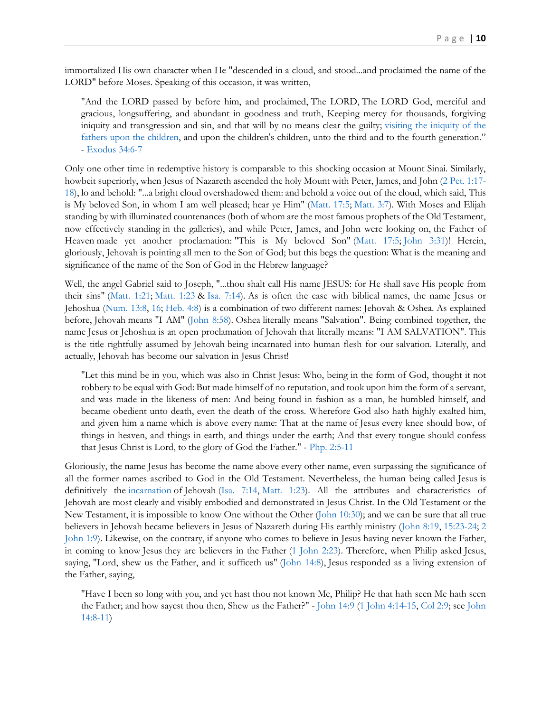immortalized His own character when He "descended in a cloud, and stood...and proclaimed the name of the LORD" before Moses. Speaking of this occasion, it was written,

"And the LORD passed by before him, and proclaimed, The LORD, The LORD God, merciful and gracious, longsuffering, and abundant in goodness and truth, Keeping mercy for thousands, forgiving iniquity and transgression and sin, and that will by no means clear the guilty; [visiting the iniquity of the](https://www.therevelationofjesuschrist.org/books/a-commentary-on-the-book-of-ezekiel/ezekiel-18-1-32/father-to-child-visitation-and-recompense)  [fathers upon the children](https://www.therevelationofjesuschrist.org/books/a-commentary-on-the-book-of-ezekiel/ezekiel-18-1-32/father-to-child-visitation-and-recompense), and upon the children's children, unto the third and to the fourth generation." - [Exodus 34:6-7](https://biblia.com/bible/kjv1900/Exod%2034.6-7)

Only one other time in redemptive history is comparable to this shocking occasion at Mount Sinai. Similarly, howbeit superiorly, when Jesus of Nazareth ascended the holy Mount with Peter, James, and John [\(2 Pet. 1:17-](https://biblia.com/bible/kjv1900/2%20Pet.%201.17-18) [18\)](https://biblia.com/bible/kjv1900/2%20Pet.%201.17-18), lo and behold: "...a bright cloud overshadowed them: and behold a voice out of the cloud, which said, This is My beloved Son, in whom I am well pleased; hear ye Him" [\(Matt. 17:5;](https://biblia.com/bible/kjv1900/Matt.%2017.5) [Matt. 3:7\)](https://biblia.com/bible/kjv1900/Matt.%203.7). With Moses and Elijah standing by with illuminated countenances (both of whom are the most famous prophets of the Old Testament, now effectively standing in the galleries), and while Peter, James, and John were looking on, the Father of Heaven made yet another proclamation: "This is My beloved Son" [\(Matt. 17:5;](https://biblia.com/bible/kjv1900/Matt.%2017.5) [John 3:31\)](https://biblia.com/bible/kjv1900/John%203.31)! Herein, gloriously, Jehovah is pointing all men to the Son of God; but this begs the question: What is the meaning and significance of the name of the Son of God in the Hebrew language?

Well, the angel Gabriel said to Joseph, "...thou shalt call His name JESUS: for He shall save His people from their sins" [\(Matt. 1:21;](https://biblia.com/bible/kjv1900/Matt.%201.21) [Matt. 1:23](https://biblia.com/bible/kjv1900/Matt.%201.23) & [Isa. 7:14\)](https://biblia.com/bible/kjv1900/Isa.%207.14). As is often the case with biblical names, the name Jesus or Jehoshua [\(Num. 13:8,](https://biblia.com/bible/kjv1900/Num.%2013.8) [16;](https://biblia.com/bible/kjv1900/Num%2013.16) [Heb. 4:8\)](https://biblia.com/bible/kjv1900/Heb.%204.8) is a combination of two different names: Jehovah & Oshea. As explained before, Jehovah means "I AM" [\(John 8:58\)](https://biblia.com/bible/kjv1900/John%208.58). Oshea literally means "Salvation". Being combined together, the name Jesus or Jehoshua is an open proclamation of Jehovah that literally means: "I AM SALVATION". This is the title rightfully assumed by Jehovah being incarnated into human flesh for our salvation. Literally, and actually, Jehovah has become our salvation in Jesus Christ!

"Let this mind be in you, which was also in Christ Jesus: Who, being in the form of God, thought it not robbery to be equal with God: But made himself of no reputation, and took upon him the form of a servant, and was made in the likeness of men: And being found in fashion as a man, he humbled himself, and became obedient unto death, even the death of the cross. Wherefore God also hath highly exalted him, and given him a name which is above every name: That at the name of Jesus every knee should bow, of things in heaven, and things in earth, and things under the earth; And that every tongue should confess that Jesus Christ is Lord, to the glory of God the Father." - [Php. 2:5-11](https://biblia.com/bible/kjv1900/Phil.%202.5-11)

Gloriously, the name Jesus has become the name above every other name, even surpassing the significance of all the former names ascribed to God in the Old Testament. Nevertheless, the human being called Jesus is definitively the [incarnation](http://www.thechurchofwells.com/the-incarnation-of-christ.html) of Jehovah [\(Isa. 7:14,](https://biblia.com/bible/kjv1900/Isa.%207.14) [Matt. 1:23\)](https://biblia.com/bible/kjv1900/Matt.%201.23). All the attributes and characteristics of Jehovah are most clearly and visibly embodied and demonstrated in Jesus Christ. In the Old Testament or the New Testament, it is impossible to know One without the Other [\(John 10:30\)](https://biblia.com/bible/kjv1900/John%2010.30); and we can be sure that all true believers in Jehovah became believers in Jesus of Nazareth during His earthly ministry [\(John 8:19,](https://biblia.com/bible/kjv1900/John%208.19) [15:23-24;](https://biblia.com/bible/kjv1900/John%2015.23-24) [2](https://biblia.com/bible/kjv1900/2%20John%201.9)  [John 1:9\)](https://biblia.com/bible/kjv1900/2%20John%201.9). Likewise, on the contrary, if anyone who comes to believe in Jesus having never known the Father, in coming to know Jesus they are believers in the Father [\(1 John 2:23\)](https://biblia.com/bible/kjv1900/1%20John%202.23). Therefore, when Philip asked Jesus, saying, "Lord, shew us the Father, and it sufficeth us" [\(John 14:8\)](https://biblia.com/bible/kjv1900/John%2014.8), Jesus responded as a living extension of the Father, saying,

"Have I been so long with you, and yet hast thou not known Me, Philip? He that hath seen Me hath seen the Father; and how sayest thou then, Shew us the Father?" - [John 14:9](https://biblia.com/bible/kjv1900/John%2014.9) [\(1 John 4:14-15,](https://biblia.com/bible/kjv1900/1%20John%204.14-15) [Col 2:9;](https://biblia.com/bible/kjv1900/Col%202.9) see [John](https://biblia.com/bible/kjv1900/John%2014.8-11)  [14:8-11\)](https://biblia.com/bible/kjv1900/John%2014.8-11)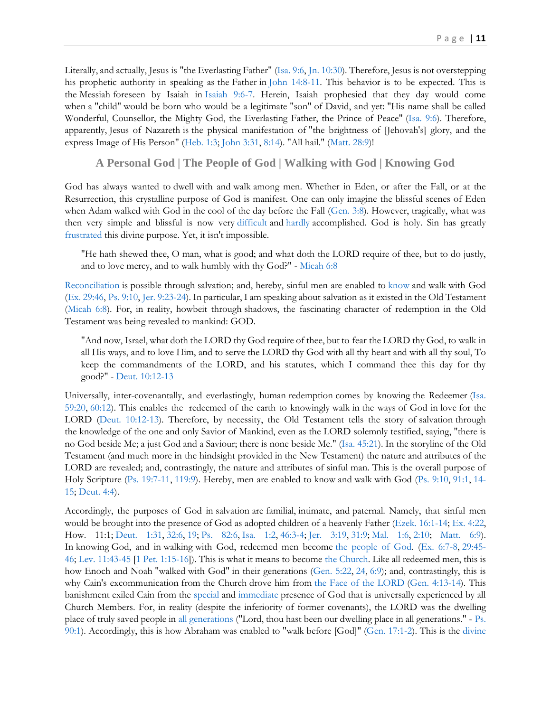Literally, and actually, Jesus is "the Everlasting Father" [\(Isa. 9:6,](https://biblia.com/bible/kjv1900/Isa.%209.6) [Jn. 10:30\)](https://biblia.com/bible/kjv1900/John.%2010.30). Therefore, Jesus is not overstepping his prophetic authority in speaking as the Father in [John 14:8-11.](https://biblia.com/bible/kjv1900/John%2014.8-11) This behavior is to be expected. This is the Messiah foreseen by Isaiah in [Isaiah 9:6-7.](https://biblia.com/bible/kjv1900/Isa%209.6-7) Herein, Isaiah prophesied that they day would come when a "child" would be born who would be a legitimate "son" of David, and yet: "His name shall be called Wonderful, Counsellor, the Mighty God, the Everlasting Father, the Prince of Peace" [\(Isa. 9:6\)](https://biblia.com/bible/kjv1900/Isa.%209.6). Therefore, apparently, Jesus of Nazareth is the physical manifestation of "the brightness of [Jehovah's] glory, and the express Image of His Person" [\(Heb. 1:3;](https://biblia.com/bible/kjv1900/Heb.%201.3) [John 3:31,](https://biblia.com/bible/kjv1900/John%203.31) [8:14\)](https://biblia.com/bible/kjv1900/John%208.14). "All hail." [\(Matt. 28:9\)](https://biblia.com/bible/kjv1900/Matt.%2028.9)!

**A Personal God | The People of God | Walking with God | Knowing God**

<span id="page-10-0"></span>God has always wanted to dwell with and walk among men. Whether in Eden, or after the Fall, or at the Resurrection, this crystalline purpose of God is manifest. One can only imagine the blissful scenes of Eden when Adam walked with God in the cool of the day before the Fall [\(Gen. 3:8\)](https://biblia.com/bible/kjv1900/Gen.%203.8). However, tragically, what was then very simple and blissful is now very [difficult](https://thechurchrealized.com/volume-1/chapter-3/becoming-gods-people-the-controversy/) and [hardly](https://thechurchrealized.com/volume-1/chapter-3/becoming-gods-people-the-controversy/) accomplished. God is holy. Sin has greatly [frustrated](https://thechurchrealized.com/volume-1/chapter-3/becoming-gods-people-the-controversy/) this divine purpose. Yet, it isn't impossible.

"He hath shewed thee, O man, what is good; and what doth the LORD require of thee, but to do justly, and to love mercy, and to walk humbly with thy God?" - [Micah 6:8](https://biblia.com/bible/kjv1900/Micah%206.8)

[Reconciliation](https://thechurchrealized.com/volume-1/chapter-3/becoming-gods-people-the-controversy/) is possible through salvation; and, hereby, sinful men are enabled to [know](https://thechurchrealized.com/volume-2/chapter-13/the-spirituality-of-the-law/) and walk with God [\(Ex. 29:46,](https://biblia.com/bible/kjv1900/Exod.%2029.46) [Ps. 9:10,](https://biblia.com/bible/kjv1900/Ps.%209.10) [Jer. 9:23-24\)](https://biblia.com/bible/kjv1900/Jer.%209.23-24). In particular, I am speaking about salvation as it existed in the Old Testament [\(Micah 6:8\)](https://biblia.com/bible/kjv1900/Micah%206.8). For, in reality, howbeit through shadows, the fascinating character of redemption in the Old Testament was being revealed to mankind: GOD.

"And now, Israel, what doth the LORD thy God require of thee, but to fear the LORD thy God, to walk in all His ways, and to love Him, and to serve the LORD thy God with all thy heart and with all thy soul, To keep the commandments of the LORD, and his statutes, which I command thee this day for thy good?" - [Deut. 10:12-13](https://biblia.com/bible/kjv1900/Deut.%2010.12-13)

Universally, inter-covenantally, and everlastingly, human redemption comes by knowing the Redeemer [\(Isa.](https://biblia.com/bible/kjv1900/Isa.%2059.20)  [59:20,](https://biblia.com/bible/kjv1900/Isa.%2059.20) [60:12\)](https://biblia.com/bible/kjv1900/Isa%2060.12). This enables the redeemed of the earth to knowingly walk in the ways of God in love for the LORD [\(Deut. 10:12-13\)](https://biblia.com/bible/kjv1900/Deut.%2010.12-13). Therefore, by necessity, the Old Testament tells the story of salvation through the knowledge of the one and only Savior of Mankind, even as the LORD solemnly testified, saying, "there is no God beside Me; a just God and a Saviour; there is none beside Me." [\(Isa. 45:21\)](https://biblia.com/bible/kjv1900/Isa.%2045.21). In the storyline of the Old Testament (and much more in the hindsight provided in the New Testament) the nature and attributes of the LORD are revealed; and, contrastingly, the nature and attributes of sinful man. This is the overall purpose of Holy Scripture [\(Ps. 19:7-11,](https://biblia.com/bible/kjv1900/Ps.%2019.7-11) [119:9\)](https://biblia.com/bible/kjv1900/Ps%20119.9). Hereby, men are enabled to know and walk with God [\(Ps. 9:10,](https://biblia.com/bible/kjv1900/Ps.%209.10) [91:1,](https://biblia.com/bible/kjv1900/Ps%2091.1) [14-](https://biblia.com/bible/kjv1900/Ps%2091.14-15) [15;](https://biblia.com/bible/kjv1900/Ps%2091.14-15) [Deut. 4:4\)](https://biblia.com/bible/kjv1900/Deut.%204.4).

Accordingly, the purposes of God in salvation are familial, intimate, and paternal. Namely, that sinful men would be brought into the presence of God as adopted children of a heavenly Father [\(Ezek. 16:1-14;](https://biblia.com/bible/kjv1900/Ezek.%2016.1-14) [Ex. 4:22,](https://biblia.com/bible/kjv1900/Exod.%204.22) How. 11:1; [Deut. 1:31,](https://biblia.com/bible/kjv1900/Deut.%201.31) [32:6,](https://biblia.com/bible/kjv1900/Deut%2032.6) [19;](https://biblia.com/bible/kjv1900/Deut%2032.19) [Ps. 82:6,](https://biblia.com/bible/kjv1900/Ps.%2082.6) [Isa. 1:2,](https://biblia.com/bible/kjv1900/Isa.%201.2) [46:3-4;](https://biblia.com/bible/kjv1900/Isa%2046.3-4) [Jer. 3:19,](https://biblia.com/bible/kjv1900/Jer.%203.19) [31:9;](https://biblia.com/bible/kjv1900/Jer%2031.9) [Mal. 1:6,](https://biblia.com/bible/kjv1900/Mal.%201.6) [2:10;](https://biblia.com/bible/kjv1900/Mal%202.10) [Matt. 6:9\)](https://biblia.com/bible/kjv1900/Matt.%206.9). In knowing God, and in walking with God, redeemed men become [the people of God.](https://thechurchrealized.com/volume-1/chapter-3/becoming-gods-people-the-controversy/) [\(Ex. 6:7-8,](https://biblia.com/bible/kjv1900/Exod.%206.7-8) [29:45-](https://biblia.com/bible/kjv1900/Ex%2029.45-46) [46;](https://biblia.com/bible/kjv1900/Ex%2029.45-46) [Lev. 11:43-45](https://biblia.com/bible/kjv1900/Lev.%2011.43-45) [\[1 Pet. 1:15-16\]](https://biblia.com/bible/kjv1900/1%20Pet.%201.15-16)). This is what it means to become [the Church.](https://thechurchrealized.com/volume-1/) Like all redeemed men, this is how Enoch and Noah "walked with God" in their generations [\(Gen. 5:22,](https://biblia.com/bible/kjv1900/Gen.%205.22) [24,](https://biblia.com/bible/kjv1900/Gen%205.24) [6:9\)](https://biblia.com/bible/kjv1900/Gen%206.9); and, contrastingly, this is why Cain's excommunication from the Church drove him from [the Face of the LORD](https://thechurchrealized.com/volume-1/chapter-3/israel-as-gods-people-the-implications/#salvation_damnation) [\(Gen. 4:13-14\)](https://biblia.com/bible/kjv1900/Gen.%204.13-14). This banishment exiled Cain from the [special](https://thechurchrealized.com/volume-1/chapter-5/the-immediate-presence-of-god-immediate-judgments-against-sin/) and [immediate](https://thechurchrealized.com/volume-1/chapter-5/the-immediate-presence-of-god-immediate-judgments-against-sin/) presence of God that is universally experienced by all Church Members. For, in reality (despite the inferiority of former covenants), the LORD was the dwelling place of truly saved people in [all generations](https://thechurchrealized.com/volume-1/chapter-2/the-church-from-its-beginning-genesis-unto-abraham/) ("Lord, thou hast been our dwelling place in all generations." - [Ps.](https://biblia.com/bible/kjv1900/Ps.%2090.1)  [90:1\)](https://biblia.com/bible/kjv1900/Ps.%2090.1). Accordingly, this is how Abraham was enabled to "walk before [God]" [\(Gen. 17:1-2\)](https://biblia.com/bible/kjv1900/Gen.%2017.1-2). This is the [divine](https://thechurchrealized.com/volume-1/chapter-5/the-church-the-called-out-ones/?highlight=%22called-out%20ones%22)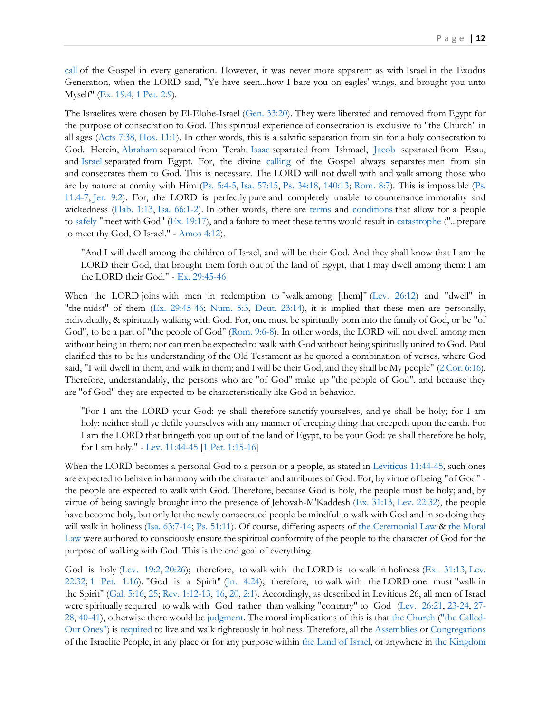[call](https://thechurchrealized.com/volume-1/chapter-5/the-church-the-called-out-ones/?highlight=%22called-out%20ones%22) of the Gospel in every generation. However, it was never more apparent as with Israel in the Exodus Generation, when the LORD said, "Ye have seen...how I bare you on eagles' wings, and brought you unto Myself" [\(Ex. 19:4;](https://biblia.com/bible/kjv1900/Exod.%2019.4) [1 Pet. 2:9\)](https://biblia.com/bible/kjv1900/1%20Pet.%202.9).

The Israelites were chosen by El-Elohe-Israel [\(Gen. 33:20\)](https://biblia.com/bible/kjv1900/Gen.%2033.20). They were liberated and removed from Egypt for the purpose of consecration to God. This spiritual experience of consecration is exclusive to "the Church" in all ages [\(Acts 7:38,](https://biblia.com/bible/kjv1900/Acts%207.38) [Hos. 11:1\)](https://biblia.com/bible/kjv1900/Hos.%2011.1). In other words, this is a salvific separation from sin for a holy consecration to God. Herein, [Abraham](https://thechurchrealized.com/volume-1/chapter-1/abrahams-salvation/) separated from Terah, [Isaac](https://thechurchrealized.com/volume-1/chapter-1/isaacs-salvation/) separated from Ishmael, [Jacob](https://thechurchrealized.com/volume-1/chapter-1/jacobs-salvation/) separated from Esau, and [Israel](https://thechurchrealized.com/volume-1/chapter-1/israels-seed-in-the-exodus-generation/) separated from Egypt. For, the divine [calling](https://thechurchrealized.com/volume-1/chapter-5/the-church-the-called-out-ones/?highlight=%22called-out%20ones%22) of the Gospel always separates men from sin and consecrates them to God. This is necessary. The LORD will not dwell with and walk among those who are by nature at enmity with Him [\(Ps. 5:4-5,](https://biblia.com/bible/kjv1900/Ps.%205.4-5) [Isa. 57:15,](https://biblia.com/bible/kjv1900/Isa.%2057.15) [Ps. 34:18,](https://biblia.com/bible/kjv1900/Ps.%2034.18) [140:13;](https://biblia.com/bible/kjv1900/Ps%20140.13) [Rom. 8:7\)](https://biblia.com/bible/kjv1900/Rom.%208.7). This is impossible [\(Ps.](https://biblia.com/bible/kjv1900/Ps.%2011.4-7)  [11:4-7,](https://biblia.com/bible/kjv1900/Ps.%2011.4-7) [Jer. 9:2\)](https://biblia.com/bible/kjv1900/Jer.%209.2). For, the LORD is perfectly pure and completely unable to countenance immorality and wickedness [\(Hab. 1:13,](https://biblia.com/bible/kjv1900/Hab.%201.13) [Isa. 66:1-2\)](https://biblia.com/bible/kjv1900/Isa.%2066.1-2). In other words, there are [terms](https://thechurchrealized.com/volume-1/chapter-4/the-glory-of-god-departing-returning-to-the-church/) and [conditions](https://thechurchrealized.com/volume-1/chapter-4/the-glory-of-god-departing-returning-to-the-church/) that allow for a people to [safely](https://thechurchrealized.com/volume-1/chapter-4/divine-acceptance-or-divine-rejection/) "meet with God" [\(Ex. 19:17\)](https://biblia.com/bible/kjv1900/Exod.%2019.17), and a failure to meet these terms would result in [catastrophe](http://www.putoffthyshoes.com/the-last-days/babylon-the-coming-of-the-lord?fbclid=IwAR2N5lUYtSDzmODwL1wQx6MpP66E2CL9oyzsC8NrK3nLrzLsjaVTIO9wh7g) ("...prepare to meet thy God, O Israel." - [Amos 4:12\)](https://biblia.com/bible/kjv1900/Amos%204.12).

"And I will dwell among the children of Israel, and will be their God. And they shall know that I am the LORD their God, that brought them forth out of the land of Egypt, that I may dwell among them: I am the LORD their God." - [Ex. 29:45-46](https://biblia.com/bible/kjv1900/Exod.%2029.45-46)

When the LORD joins with men in redemption to "walk among [them]" [\(Lev. 26:12\)](https://biblia.com/bible/kjv1900/Lev.%2026.12) and "dwell" in "the midst" of them [\(Ex. 29:45-46;](https://biblia.com/bible/kjv1900/Exod.%2029.45-46) [Num. 5:3,](https://biblia.com/bible/kjv1900/Num.%205.3) [Deut. 23:14\)](https://biblia.com/bible/kjv1900/Deut.%2023.14), it is implied that these men are personally, individually, & spiritually walking with God. For, one must be spiritually born into the family of God, or be "of God", to be a part of "the people of God" [\(Rom. 9:6-8\)](https://biblia.com/bible/kjv1900/Rom.%209.6-8). In other words, the LORD will not dwell among men without being in them; nor can men be expected to walk with God without being spiritually united to God. Paul clarified this to be his understanding of the Old Testament as he quoted a combination of verses, where God said, "I will dwell in them, and walk in them; and I will be their God, and they shall be My people" [\(2 Cor. 6:16\)](https://biblia.com/bible/kjv1900/2%20Cor.%206.16). Therefore, understandably, the persons who are "of God" make up "the people of God", and because they are "of God" they are expected to be characteristically like God in behavior.

"For I am the LORD your God: ye shall therefore sanctify yourselves, and ye shall be holy; for I am holy: neither shall ye defile yourselves with any manner of creeping thing that creepeth upon the earth. For I am the LORD that bringeth you up out of the land of Egypt, to be your God: ye shall therefore be holy, for I am holy." - [Lev. 11:44-45](https://biblia.com/bible/kjv1900/Lev.%2011.44-45) [\[1 Pet. 1:15-16\]](https://biblia.com/bible/kjv1900/1%20Pet.%201.15-16)

When the LORD becomes a personal God to a person or a people, as stated in [Leviticus 11:44-45,](https://biblia.com/bible/kjv1900/Lev%2011.44-45) such ones are expected to behave in harmony with the character and attributes of God. For, by virtue of being "of God" the people are expected to walk with God. Therefore, because God is holy, the people must be holy; and, by virtue of being savingly brought into the presence of Jehovah-M'Kaddesh [\(Ex. 31:13,](https://biblia.com/bible/kjv1900/Exod.%2031.13) [Lev. 22:32\)](https://biblia.com/bible/kjv1900/Lev.%2022.32), the people have become holy, but only let the newly consecrated people be mindful to walk with God and in so doing they will walk in holiness [\(Isa. 63:7-14;](https://biblia.com/bible/kjv1900/Isa.%2063.7-14) [Ps. 51:11\)](https://biblia.com/bible/kjv1900/Ps.%2051.11). Of course, differing aspects of [the Ceremonial](https://thechurchrealized.com/volume-2/chapter-11/introduction/) Law & the Moral [Law](https://thechurchrealized.com/volume-2/chapter-13/old-testament-righteousness-regeneration-morally-speaking/) were authored to consciously ensure the spiritual conformity of the people to the character of God for the purpose of walking with God. This is the end goal of everything.

God is holy [\(Lev. 19:2,](https://biblia.com/bible/kjv1900/Lev.%2019.2) [20:26\)](https://biblia.com/bible/kjv1900/Lev%2020.26); therefore, to walk with the LORD is to walk in holiness [\(Ex. 31:13,](https://biblia.com/bible/kjv1900/Exod.%2031.13) Lev. [22:32;](https://biblia.com/bible/kjv1900/Lev.%2022.32) [1 Pet. 1:16\)](https://biblia.com/bible/kjv1900/1%20Pet.%201.16). "God is a Spirit" [\(Jn. 4:24\)](https://biblia.com/bible/kjv1900/John.%204.24); therefore, to walk with the LORD one must "walk in the Spirit" [\(Gal. 5:16,](https://biblia.com/bible/kjv1900/Gal.%205.16) [25;](https://biblia.com/bible/kjv1900/Gal%205.25) [Rev. 1:12-13,](https://biblia.com/bible/kjv1900/Rev.%201.12-13) [16,](https://biblia.com/bible/kjv1900/Rev%201.16) [20,](https://biblia.com/bible/kjv1900/Rev%201.20) [2:1\)](https://biblia.com/bible/kjv1900/Rev%202.1). Accordingly, as described in Leviticus 26, all men of Israel were spiritually required to walk with God rather than walking "contrary" to God [\(Lev. 26:21,](https://biblia.com/bible/kjv1900/Lev.%2026.21) [23-24,](https://biblia.com/bible/kjv1900/Lev%2026.23-24) [27-](https://biblia.com/bible/kjv1900/Lev%2026.27-28) [28,](https://biblia.com/bible/kjv1900/Lev%2026.27-28) [40-41\)](https://biblia.com/bible/kjv1900/Lev%2026.40-41), otherwise there would be [judgment.](https://thechurchrealized.com/volume-1/chapter-5/the-immediate-presence-of-god-immediate-judgments-against-sin/) The moral implications of this is that [the Church](https://thechurchrealized.com/volume-1/chapter-5/the-church-the-called-out-ones/) [\("the Called-](https://thechurchrealized.com/volume-1/chapter-5/the-church-the-called-out-ones/)[Out Ones"\)](https://thechurchrealized.com/volume-1/chapter-5/the-church-the-called-out-ones/) is [required](https://thechurchrealized.com/volume-1/chapter-5/the-immediate-presence-of-god-immediate-judgments-against-sin/) to live and walk righteously in holiness. Therefore, all the [Assemblies](http://thechurchrealized.com/volume-3/chapter-15/the-assembly/) or [Congregations](http://thechurchrealized.com/volume-3/chapter-15/the-congregation/) of the Israelite People, in any place or for any purpose within [the Land of Israel,](http://thechurchrealized.com/volume-3/chapter-16/the-old-testament-how-it-was/) or anywhere in [the Kingdom](http://thechurchrealized.com/volume-3/chapter-16/the-old-testament-how-it-was/)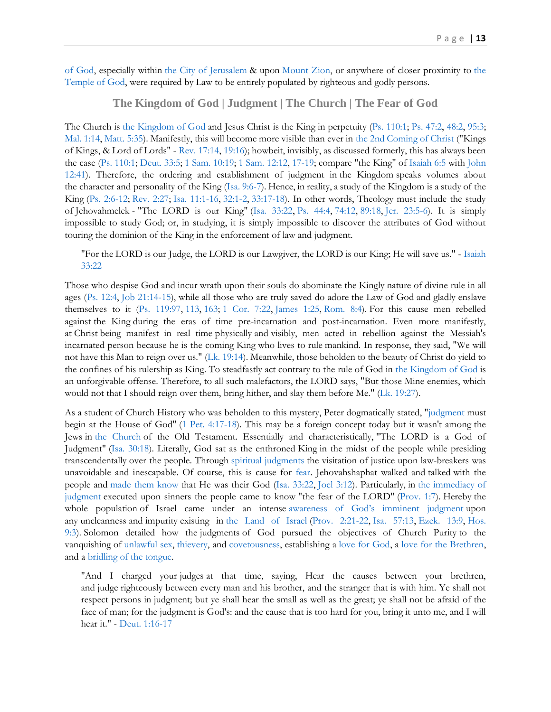[of God,](http://thechurchrealized.com/volume-3/chapter-16/the-old-testament-how-it-was/) especially within [the City of Jerusalem](http://thechurchrealized.com/volume-3/chapter-16/the-old-testament-how-it-was/) & upon [Mount Zion,](http://thechurchrealized.com/volume-3/chapter-16/the-old-testament-how-it-was/) or anywhere of closer proximity to [the](http://thechurchrealized.com/volume-3/chapter-17/in-the-old-testament-how-it-was/)  [Temple of God,](http://thechurchrealized.com/volume-3/chapter-17/in-the-old-testament-how-it-was/) were required by Law to be entirely populated by righteous and godly persons.

### **The Kingdom of God | Judgment | The Church | The Fear of God**

<span id="page-12-0"></span>The Church is [the Kingdom of God](https://thechurchrealized.com/volume-3/chapter-16/the-old-testament-how-it-was/#kingdom) and Jesus Christ is the King in perpetuity [\(Ps. 110:1;](https://biblia.com/bible/kjv1900/Ps.%20110.1) [Ps. 47:2,](https://biblia.com/bible/kjv1900/Ps.%2047.2) [48:2,](https://biblia.com/bible/kjv1900/Ps%2048.2) [95:3;](https://biblia.com/bible/kjv1900/Ps%2095.3) [Mal. 1:14,](https://biblia.com/bible/kjv1900/Mal.%201.14) [Matt. 5:35\)](https://biblia.com/bible/kjv1900/Matt.%205.35). Manifestly, this will become more visible than ever in [the 2nd Coming of Christ](https://www.therevelationofjesuschrist.org/books/a-commentary-on-the-book-of-revelation/revelation-11-15-19-14-6-16-21-18-1-20-6/introducing-the-end-75-days-of-great-terrible-glory) ("Kings of Kings, & Lord of Lords" - [Rev. 17:14,](https://biblia.com/bible/kjv1900/Rev.%2017.14) [19:16\)](https://biblia.com/bible/kjv1900/Rev%2019.16); howbeit, invisibly, as discussed formerly, this has always been the case [\(Ps. 110:1;](https://biblia.com/bible/kjv1900/Ps.%20110.1) [Deut. 33:5;](https://biblia.com/bible/kjv1900/Deut.%2033.5) [1 Sam. 10:19;](https://biblia.com/bible/kjv1900/1%20Sam.%2010.19) [1 Sam. 12:12,](https://biblia.com/bible/kjv1900/1%20Sam.%2012.12) [17-19;](https://biblia.com/bible/kjv1900/1%20Sam%2012.17-19) compare "the King" of [Isaiah 6:5](https://biblia.com/bible/kjv1900/Isa%206.5) with [John](https://biblia.com/bible/kjv1900/John%2012.41)  [12:41\)](https://biblia.com/bible/kjv1900/John%2012.41). Therefore, the ordering and establishment of judgment in the Kingdom speaks volumes about the character and personality of the King [\(Isa. 9:6-7\)](https://biblia.com/bible/kjv1900/Isa.%209.6-7). Hence, in reality, a study of the Kingdom is a study of the King [\(Ps. 2:6-12;](https://biblia.com/bible/kjv1900/Ps.%202.6-12) [Rev. 2:27;](https://biblia.com/bible/kjv1900/Rev.%202.27) [Isa. 11:1-16,](https://biblia.com/bible/kjv1900/Isa.%2011.1-16) [32:1-2,](https://biblia.com/bible/kjv1900/Isa%2032.1-2) [33:17-18\)](https://biblia.com/bible/kjv1900/Isa%2033.17-18). In other words, Theology must include the study of Jehovahmelek - "The LORD is our King" [\(Isa. 33:22,](https://biblia.com/bible/kjv1900/Isa.%2033.22) [Ps. 44:4,](https://biblia.com/bible/kjv1900/Ps.%2044.4) [74:12,](https://biblia.com/bible/kjv1900/Ps%2074.12) [89:18,](https://biblia.com/bible/kjv1900/Ps%2089.18) [Jer. 23:5-6\)](https://biblia.com/bible/kjv1900/Jer.%2023.5-6). It is simply impossible to study God; or, in studying, it is simply impossible to discover the attributes of God without touring the dominion of the King in the enforcement of law and judgment.

"For the LORD is our Judge, the LORD is our Lawgiver, the LORD is our King; He will save us." - [Isaiah](https://biblia.com/bible/kjv1900/Isa%2033.22)  [33:22](https://biblia.com/bible/kjv1900/Isa%2033.22)

Those who despise God and incur wrath upon their souls do abominate the Kingly nature of divine rule in all ages [\(Ps. 12:4,](https://biblia.com/bible/kjv1900/Ps.%2012.4) [Job 21:14-15\)](https://biblia.com/bible/kjv1900/Job%2021.14-15), while all those who are truly saved do adore the Law of God and gladly enslave themselves to it [\(Ps. 119:97,](https://biblia.com/bible/kjv1900/Ps.%20119.97) [113,](https://biblia.com/bible/kjv1900/Ps%20119.113) [163;](https://biblia.com/bible/kjv1900/Ps%20119.163) [1 Cor. 7:22,](https://biblia.com/bible/kjv1900/1%20Cor.%207.22) [James 1:25,](https://biblia.com/bible/kjv1900/James%201.25) [Rom. 8:4\)](https://biblia.com/bible/kjv1900/Rom.%208.4). For this cause men rebelled against the King during the eras of time pre-incarnation and post-incarnation. Even more manifestly, at Christ being manifest in real time physically and visibly, men acted in rebellion against the Messiah's incarnated person because he is the coming King who lives to rule mankind. In response, they said, "We will not have this Man to reign over us." [\(Lk. 19:14\)](https://biblia.com/bible/kjv1900/Luke.%2019.14). Meanwhile, those beholden to the beauty of Christ do yield to the confines of his rulership as King. To steadfastly act contrary to the rule of God in [the Kingdom of God](https://thechurchrealized.com/volume-3/chapter-16/the-new-testament-how-it-is/#kingdom) is an unforgivable offense. Therefore, to all such malefactors, the LORD says, "But those Mine enemies, which would not that I should reign over them, bring hither, and slay them before Me." [\(Lk. 19:27\)](https://biblia.com/bible/kjv1900/Luke.%2019.27).

As a student of Church History who was beholden to this mystery, Peter dogmatically stated, ["judgment](https://thechurchrealized.com/volume-2/appendix-1/the-old-testament/) must begin at the House of God" [\(1 Pet. 4:17-18\)](https://biblia.com/bible/kjv1900/1%20Pet.%204.17-18). This may be a foreign concept today but it wasn't among the Jews in [the Church](http://www.putoffthyshoes.com/church-history/the-church-its-attendees-is-your-name-on-the-list) of the Old Testament. Essentially and characteristically, "The LORD is a God of Judgment" [\(Isa. 30:18\)](https://biblia.com/bible/kjv1900/Isa.%2030.18). Literally, God sat as the enthroned King in the midst of the people while presiding transcendentally over the people. Through [spiritual judgments](https://thechurchrealized.com/volume-1/chapter-6/theme-1/) the visitation of justice upon law-breakers was unavoidable and inescapable. Of course, this is cause for [fear.](https://thechurchrealized.com/volume-1/chapter-7/theme-2/) Jehovahshaphat walked and talked with the people and [made them know](https://thechurchrealized.com/volume-1/chapter-7/theme-2/#chapter_1) that He was their God [\(Isa. 33:22,](https://biblia.com/bible/kjv1900/Isa.%2033.22) [Joel 3:12\)](https://biblia.com/bible/kjv1900/Joel%203.12). Particularly, in [the immediacy of](https://thechurchrealized.com/volume-1/chapter-7/theme-2/#an_awareness)  [judgment](https://thechurchrealized.com/volume-1/chapter-7/theme-2/#an_awareness) executed upon sinners the people came to know "the fear of the LORD" [\(Prov. 1:7\)](https://biblia.com/bible/kjv1900/Prov.%201.7). Hereby the whole population of Israel came under an intense [awareness of God's imminent judgment](https://thechurchrealized.com/volume-1/chapter-7/theme-2/#an_awareness) upon any uncleanness and impurity existing in [the Land of Israel](https://thechurchrealized.com/volume-3/chapter-16/the-old-testament-how-it-was/#land) [\(Prov. 2:21-22,](https://biblia.com/bible/kjv1900/Prov.%202.21-22) [Isa. 57:13,](https://biblia.com/bible/kjv1900/Isa.%2057.13) [Ezek. 13:9,](https://biblia.com/bible/kjv1900/Ezek.%2013.9) [Hos.](https://biblia.com/bible/kjv1900/Hos.%209.3)  [9:3\)](https://biblia.com/bible/kjv1900/Hos.%209.3). Solomon detailed how the judgments of God pursued the objectives of Church Purity to the vanquishing of [unlawful sex,](https://thechurchrealized.com/volume-1/chapter-7/theme-2/#unlawful_sex) [thievery,](https://thechurchrealized.com/volume-1/chapter-7/theme-2/#thievery) and [covetousness,](https://thechurchrealized.com/volume-1/chapter-7/theme-2/#covetousness) establishing a [love for God,](https://thechurchrealized.com/volume-1/chapter-7/theme-2/#love_for_god) a [love for the Brethren,](https://thechurchrealized.com/volume-1/chapter-7/theme-2/#love_for_brethren) and a [bridling of the tongue.](https://thechurchrealized.com/volume-1/chapter-7/theme-2/#bridling_tongue)

"And I charged your judges at that time, saying, Hear the causes between your brethren, and judge righteously between every man and his brother, and the stranger that is with him. Ye shall not respect persons in judgment; but ye shall hear the small as well as the great; ye shall not be afraid of the face of man; for the judgment is God's: and the cause that is too hard for you, bring it unto me, and I will hear it." - [Deut. 1:16-17](https://biblia.com/bible/kjv1900/Deut.%201.16-17)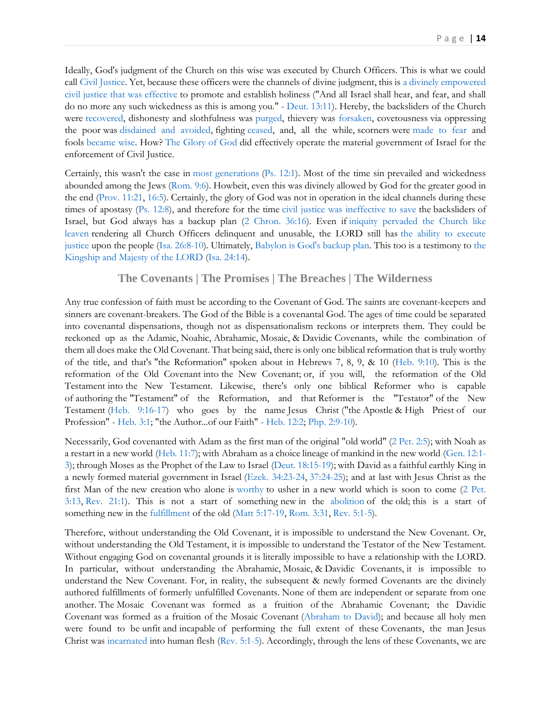Ideally, God's judgment of the Church on this wise was executed by Church Officers. This is what we could call [Civil Justice.](https://thechurchrealized.com/volume-1/chapter-8/theme-3/) Yet, because these officers were the channels of divine judgment, this is [a divinely empowered](https://thechurchrealized.com/volume-1/chapter-8/theme-3/)  [civil justice that was effective](https://thechurchrealized.com/volume-1/chapter-8/theme-3/) to promote and establish holiness ("And all Israel shall hear, and fear, and shall do no more any such wickedness as this is among you." - [Deut. 13:11\)](https://biblia.com/bible/kjv1900/Deut.%2013.11). Hereby, the backsliders of the Church were [recovered,](https://thechurchrealized.com/volume-1/chapter-8/theme-3/#bridling_tongue) dishonesty and slothfulness was [purged,](https://thechurchrealized.com/volume-1/chapter-8/theme-3/#dishonesty) thievery was [forsaken,](https://thechurchrealized.com/volume-1/chapter-8/theme-3/#thievery) covetousness via oppressing the poor was [disdained and avoided,](https://thechurchrealized.com/volume-1/chapter-8/theme-3/#covetousness) fighting [ceased,](https://thechurchrealized.com/volume-1/chapter-8/theme-3/#fighting) and, all the while, scorners were [made to fear](https://thechurchrealized.com/volume-1/chapter-8/theme-3/#scorners) and fools [became wise.](https://thechurchrealized.com/volume-1/chapter-8/theme-3/#scorners) How? [The Glory of God](https://thechurchrealized.com/volume-1/chapter-4/the-glory-of-god-departing-returning-to-the-church/) did effectively operate the material government of Israel for the enforcement of Civil Justice.

Certainly, this wasn't the case in [most generations](http://www.putoffthyshoes.com/church-history/when-the-good-is-short-of-perfection) [\(Ps. 12:1\)](https://biblia.com/bible/kjv1900/Ps.%2012.1). Most of the time sin prevailed and wickedness abounded among the Jews [\(Rom. 9:6\)](https://biblia.com/bible/kjv1900/Rom.%209.6). Howbeit, even this was divinely allowed by God for the greater good in the end [\(Prov. 11:21,](https://biblia.com/bible/kjv1900/Prov.%2011.21) [16:5\)](https://biblia.com/bible/kjv1900/Prov%2016.5). Certainly, the glory of God was not in operation in the ideal channels during these times of apostasy [\(Ps. 12:8\)](https://biblia.com/bible/kjv1900/Ps.%2012.8), and therefore for the time [civil justice was ineffective to save](https://thechurchrealized.com/volume-1/chapter-8/theme-3/#justice_ineffective) the backsliders of Israel, but God always has a backup plan [\(2 Chron. 36:16\)](https://biblia.com/bible/kjv1900/2%20Chron.%2036.16). Even if [iniquity pervaded the Church like](https://thechurchrealized.com/volume-1/chapter-9/theme-4/)  [leaven](https://thechurchrealized.com/volume-1/chapter-9/theme-4/) rendering all Church Officers delinquent and unusable, the LORD still has [the ability to execute](https://thechurchrealized.com/volume-1/chapter-9/theme-5/)  [justice](https://thechurchrealized.com/volume-1/chapter-9/theme-5/) upon the people [\(Isa. 26:8-10\)](https://biblia.com/bible/kjv1900/Isa.%2026.8-10). Ultimately, [Babylon is God's backup plan.](http://www.putoffthyshoes.com/the-last-days/babylon-the-coming-of-the-lord) This too is a testimony to [the](https://www.therevelationofjesuschrist.org/books/a-commentary-on-the-book-of-ezekiel/ezekiel-20-1-21-32/refuting-popular-commentators#_The_Doctrine_of_4)  [Kingship and Majesty of the LORD](https://www.therevelationofjesuschrist.org/books/a-commentary-on-the-book-of-ezekiel/ezekiel-20-1-21-32/refuting-popular-commentators#_The_Doctrine_of_4) [\(Isa. 24:14\)](https://biblia.com/bible/kjv1900/Isa.%2024.14).

### **The Covenants | The Promises | The Breaches | The Wilderness**

<span id="page-13-0"></span>Any true confession of faith must be according to the Covenant of God. The saints are covenant-keepers and sinners are covenant-breakers. The God of the Bible is a covenantal God. The ages of time could be separated into covenantal dispensations, though not as dispensationalism reckons or interprets them. They could be reckoned up as the Adamic, Noahic, Abrahamic, Mosaic, & Davidic Covenants, while the combination of them all does make the Old Covenant. That being said, there is only one biblical reformation that is truly worthy of the title, and that's "the Reformation" spoken about in Hebrews 7, 8, 9, & 10 [\(Heb. 9:10\)](https://biblia.com/bible/kjv1900/Heb.%209.10). This is the reformation of the Old Covenant into the New Covenant; or, if you will, the reformation of the Old Testament into the New Testament. Likewise, there's only one biblical Reformer who is capable of authoring the "Testament" of the Reformation, and that Reformer is the "Testator" of the New Testament [\(Heb. 9:16-17\)](https://biblia.com/bible/kjv1900/Heb.%209.16-17) who goes by the name Jesus Christ ("the Apostle & High Priest of our Profession" - [Heb. 3:1;](https://biblia.com/bible/kjv1900/Heb.%203.1) "the Author...of our Faith" - [Heb. 12:2;](https://biblia.com/bible/kjv1900/Heb.%2012.2) [Php. 2:9-10\)](https://biblia.com/bible/kjv1900/Phil.%202.9-10).

Necessarily, God covenanted with Adam as the first man of the original "old world" [\(2 Pet. 2:5\)](https://biblia.com/bible/kjv1900/2%20Pet.%202.5); with Noah as a restart in a new world [\(Heb. 11:7\)](https://biblia.com/bible/kjv1900/Heb.%2011.7); with Abraham as a choice lineage of mankind in the new world [\(Gen. 12:1-](https://biblia.com/bible/kjv1900/Gen.%2012.1-3) [3\)](https://biblia.com/bible/kjv1900/Gen.%2012.1-3); through Moses as the Prophet of the Law to Israel [\(Deut. 18:15-19\)](https://biblia.com/bible/kjv1900/Deut.%2018.15-19); with David as a faithful earthly King in a newly formed material government in Israel [\(Ezek. 34:23-24,](https://biblia.com/bible/kjv1900/Ezek.%2034.23-24) [37:24-25\)](https://biblia.com/bible/kjv1900/Ezek%2037.24-25); and at last with Jesus Christ as the first Man of the new creation who alone is [worthy](https://www.therevelationofjesuschrist.org/books/a-commentary-on-the-book-of-revelation/revelation-4-6/the-sudden-appearance-of-christ-in-heaven-in-33-a-d#_The_Wherewithal_to) to usher in a new world which is soon to come [\(2 Pet.](https://biblia.com/bible/kjv1900/2%20Pet.%203.13)  [3:13,](https://biblia.com/bible/kjv1900/2%20Pet.%203.13) [Rev. 21:1\)](https://biblia.com/bible/kjv1900/Rev.%2021.1). This is not a start of something new in the [abolition](https://thechurchrealized.com/volume-3/chapter-18/fulfilled-disannulled-destroyed/) of the old; this is a start of something new in the [fulfillment](https://thechurchrealized.com/volume-3/chapter-18/fulfilled-disannulled-destroyed/) of the old [\(Matt 5:17-19,](https://biblia.com/bible/kjv1900/Matt%205.17-19) [Rom. 3:31,](https://biblia.com/bible/kjv1900/Rom.%203.31) [Rev. 5:1-5\)](https://biblia.com/bible/kjv1900/Rev.%205.1-5).

Therefore, without understanding the Old Covenant, it is impossible to understand the New Covenant. Or, without understanding the Old Testament, it is impossible to understand the Testator of the New Testament. Without engaging God on covenantal grounds it is literally impossible to have a relationship with the LORD. In particular, without understanding the Abrahamic, Mosaic, & Davidic Covenants, it is impossible to understand the New Covenant. For, in reality, the subsequent & newly formed Covenants are the divinely authored fulfillments of formerly unfulfilled Covenants. None of them are independent or separate from one another. The Mosaic Covenant was formed as a fruition of the Abrahamic Covenant; the Davidic Covenant was formed as a fruition of the Mosaic Covenant [\(Abraham to David\)](https://www.therevelationofjesuschrist.org/books/the-age-ending-revival/abraham-to-david); and because all holy men were found to be unfit and incapable of performing the full extent of these Covenants, the man Jesus Christ was [incarnated](http://www.thechurchofwells.com/the-incarnation-of-christ.html) into human flesh [\(Rev. 5:1-5\)](https://biblia.com/bible/kjv1900/Rev.%205.1-5). Accordingly, through the lens of these Covenants, we are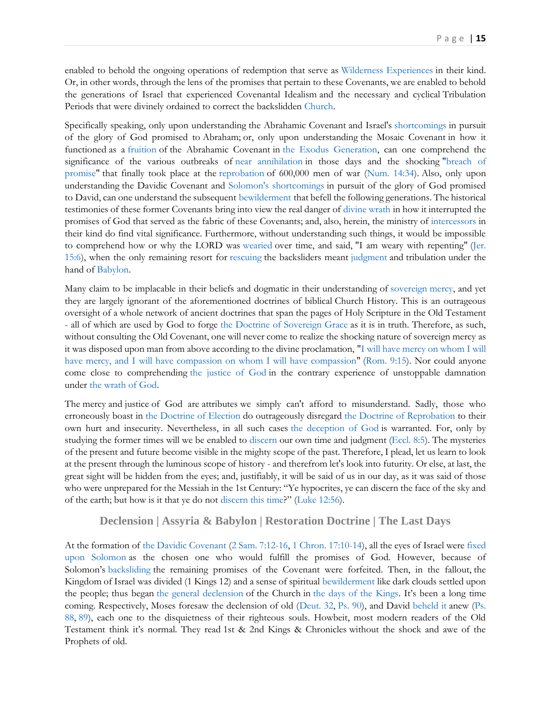enabled to behold the ongoing operations of redemption that serve as [Wilderness Experiences](http://www.putoffthyshoes.com/the-last-days/the-wilderness) in their kind. Or, in other words, through the lens of the promises that pertain to these Covenants, we are enabled to behold the generations of Israel that experienced Covenantal Idealism and the necessary and cyclical Tribulation Periods that were divinely ordained to correct the backslidden [Church.](http://www.putoffthyshoes.com/church-history/are-you-a-student-of-church-history)

Specifically speaking, only upon understanding the Abrahamic Covenant and Israel's [shortcomings](http://www.thecondescensionofgod.com/3---the-abrahamic-covenant.html) in pursuit of the glory of God promised to Abraham; or, only upon understanding the Mosaic Covenant in how it functioned as a [fruition](https://www.therevelationofjesuschrist.org/books/the-age-ending-revival/abraham-to-david) of the Abrahamic Covenant in [the Exodus Generation,](https://thechurchrealized.com/volume-1/chapter-1/israels-seed-in-the-exodus-generation/) can one comprehend the significance of the various outbreaks of [near annihilation](http://www.thecondescensionofgod.com/8---the-near-annihilation-of-gods-people.html) in those days and the shocking ["breach of](http://www.thecondescensionofgod.com/the-exodus-generation-saved-by-faith.html)  [promise"](http://www.thecondescensionofgod.com/the-exodus-generation-saved-by-faith.html) that finally took place at the [reprobation](http://www.thecondescensionofgod.com/13---the-doctrine-of-reprobation.html) of 600,000 men of war [\(Num. 14:34\)](https://biblia.com/bible/kjv1900/Num.%2014.34). Also, only upon understanding the Davidic Covenant and Solomon's [shortcomings](http://www.thecondescensionofgod.com/6---the-davidic-covenant.html) in pursuit of the glory of God promised to David, can one understand the subsequent [bewilderment](http://www.thecondescensionofgod.com/bewilderment--blindness-by-a-covenant-breached.html) that befell the following generations. The historical testimonies of these former Covenants bring into view the real danger of [divine wrath](http://www.thecondescensionofgod.com/7---interceding-against-wrath.html) in how it interrupted the promises of God that served as the fabric of these Covenants; and, also, herein, the ministry of [intercessors](http://www.thecondescensionofgod.com/7---interceding-against-wrath.html) in their kind do find vital significance. Furthermore, without understanding such things, it would be impossible to comprehend how or why the LORD was [wearied](http://www.thecondescensionofgod.com/9---i-am-weary-with-repenting.html) over time, and said, "I am weary with repenting" [\(Jer.](https://biblia.com/bible/kjv1900/Jer.%2015.6)  [15:6\)](https://biblia.com/bible/kjv1900/Jer.%2015.6), when the only remaining resort for [rescuing](https://www.therevelationofjesuschrist.org/books/a-commentary-on-the-book-of-revelation/revelation-7-9/babylon-as-a-redemptive-process-for-the-backslidden-church) the backsliders meant [judgment](http://www.putoffthyshoes.com/the-last-days/the-day-of-the-lord) and tribulation under the hand of [Babylon.](http://www.putoffthyshoes.com/the-last-days/babylon-the-coming-of-the-lord?fbclid=IwAR2N5lUYtSDzmODwL1wQx6MpP66E2CL9oyzsC8NrK3nLrzLsjaVTIO9wh7g)

Many claim to be implacable in their beliefs and dogmatic in their understanding of [sovereign](http://www.thecondescensionofgod.com/10---mercy-on-whom-i-will-have-mercy.html) mercy, and yet they are largely ignorant of the aforementioned doctrines of biblical Church History. This is an outrageous oversight of a whole network of ancient doctrines that span the pages of Holy Scripture in the Old Testament - all of which are used by God to forge [the Doctrine of Sovereign Grace](http://www.thecondescensionofgod.com/10---mercy-on-whom-i-will-have-mercy.html) as it is in truth. Therefore, as such, without consulting the Old Covenant, one will never come to realize the shocking nature of sovereign mercy as it was disposed upon man from above according to the divine proclamation, ["I will have mercy on whom I will](http://www.thecondescensionofgod.com/10---mercy-on-whom-i-will-have-mercy.html)  have mercy, and [I will have compassion on whom I will have compassion"](http://www.thecondescensionofgod.com/10---mercy-on-whom-i-will-have-mercy.html) [\(Rom. 9:15\)](https://biblia.com/bible/kjv1900/Rom.%209.15). Nor could anyone come close to comprehending [the justice of God](http://www.thecondescensionofgod.com/11---the-righteous-judgment-of-god.html) in the contrary experience of unstoppable damnation under [the wrath of God.](http://www.thecondescensionofgod.com/12---the-glory-of-god-in-wrath-personification-anthropomorphism--zoomorphism.html)

The mercy and justice of God are attributes we simply can't afford to misunderstand. Sadly, those who erroneously boast in [the Doctrine of Election](http://www.thecondescensionofgod.com/14---the-damnable-abuse--misapplication-of-sovereign-election.html) do outrageously disregard [the Doctrine of Reprobation](http://www.thecondescensionofgod.com/13---the-doctrine-of-reprobation.html) to their own hurt and insecurity. Nevertheless, in all such cases [the deception of God](http://www.thecondescensionofgod.com/15---the-deception-of-god.html) is warranted. For, only by studying the former times will we be enabled to [discern](http://www.thecondescensionofgod.com/16---have-you-discerned-your-day--time.html) our own time and judgment [\(Eccl. 8:5\)](https://biblia.com/bible/kjv1900/Eccles.%208.5). The mysteries of the present and future become visible in the mighty scope of the past. Therefore, I plead, let us learn to look at the present through the luminous scope of history - and therefrom let's look into futurity. Or else, at last, the great sight will be hidden from the eyes; and, justifiably, it will be said of us in our day, as it was said of those who were unprepared for the Messiah in the 1st Century: "Ye hypocrites, ye can discern the face of the sky and of the earth; but how is it that ye do not [discern this time](http://www.thecondescensionofgod.com/16---have-you-discerned-your-day--time.html)?" [\(Luke 12:56\)](https://biblia.com/bible/kjv1900/Luke%2012.56).

## **Declension | Assyria & Babylon | Restoration Doctrine | The Last Days**

<span id="page-14-0"></span>At the formation of [the Davidic Covenant](http://www.thecondescensionofgod.com/the-davidic-covenant-seeking-a-performance-of-the-promises.html) [\(2 Sam. 7:12-16,](https://biblia.com/bible/kjv1900/2%20Sam.%207.12-16) [1 Chron. 17:10-14\)](https://biblia.com/bible/kjv1900/1%20Chron.%2017.10-14), all the eyes of Israel were [fixed](http://www.thecondescensionofgod.com/6---the-davidic-covenant.html)  [upon Solomon](http://www.thecondescensionofgod.com/6---the-davidic-covenant.html) as the chosen one who would fulfill the promises of God. However, because of Solomon's [backsliding](http://www.thecondescensionofgod.com/the-davidic-covenant-seeking-a-performance-of-the-promises.html) the remaining promises of the Covenant were forfeited. Then, in the fallout, the Kingdom of Israel was divided (1 Kings 12) and a sense of spiritual [bewilderment](http://www.thecondescensionofgod.com/bewilderment--blindness-by-a-covenant-breached.html) like dark clouds settled upon the people; thus began [the general declension](http://www.putoffthyshoes.com/church-history/when-the-good-is-short-of-perfection) of the Church in [the days of the Kings](https://www.therevelationofjesuschrist.org/books/a-commentary-on-the-book-of-ezekiel/ezekiel-18-1-32/vindicating-the-scriptural-emphasis-of-guilt). It's been a long time coming. Respectively, Moses foresaw the declension of old [\(Deut. 32,](https://biblia.com/bible/kjv1900/Deut.%2032) [Ps. 90\)](https://biblia.com/bible/kjv1900/Ps.%2090), and David [beheld](https://www.therevelationofjesuschrist.org/books/the-age-ending-revival/the-unrealized-divine-repentance-extending-beyond-david-s-lifetime) it anew [\(Ps.](https://biblia.com/bible/kjv1900/Ps.%2088)  [88,](https://biblia.com/bible/kjv1900/Ps.%2088) [89\)](https://biblia.com/bible/kjv1900/Ps%2088.89), each one to the disquietness of their righteous souls. Howbeit, most modern readers of the Old Testament think it's normal. They read 1st & 2nd Kings & Chronicles without the shock and awe of the Prophets of old.